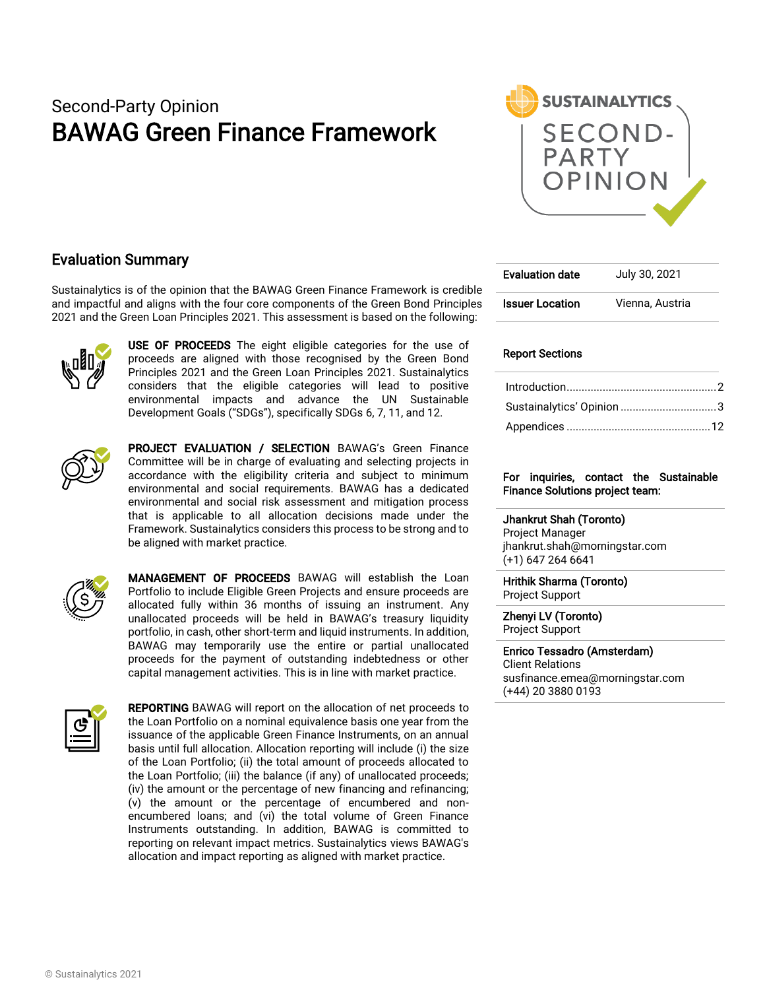# Second-Party Opinion BAWAG Green Finance Framework



## Evaluation Summary

Sustainalytics is of the opinion that the BAWAG Green Finance Framework is credible and impactful and aligns with the four core components of the Green Bond Principles 2021 and the Green Loan Principles 2021. This assessment is based on the following:



USE OF PROCEEDS The eight eligible categories for the use of proceeds are aligned with those recognised by the Green Bond Principles 2021 and the Green Loan Principles 2021. Sustainalytics considers that the eligible categories will lead to positive environmental impacts and advance the UN Sustainable Development Goals ("SDGs"), specifically SDGs 6, 7, 11, and 12.



PROJECT EVALUATION / SELECTION BAWAG's Green Finance Committee will be in charge of evaluating and selecting projects in accordance with the eligibility criteria and subject to minimum environmental and social requirements. BAWAG has a dedicated environmental and social risk assessment and mitigation process that is applicable to all allocation decisions made under the Framework. Sustainalytics considers this process to be strong and to be aligned with market practice.



MANAGEMENT OF PROCEEDS BAWAG will establish the Loan Portfolio to include Eligible Green Projects and ensure proceeds are allocated fully within 36 months of issuing an instrument. Any unallocated proceeds will be held in BAWAG's treasury liquidity portfolio, in cash, other short-term and liquid instruments. In addition, BAWAG may temporarily use the entire or partial unallocated proceeds for the payment of outstanding indebtedness or other capital management activities. This is in line with market practice.



REPORTING BAWAG will report on the allocation of net proceeds to the Loan Portfolio on a nominal equivalence basis one year from the issuance of the applicable Green Finance Instruments, on an annual basis until full allocation. Allocation reporting will include (i) the size of the Loan Portfolio; (ii) the total amount of proceeds allocated to the Loan Portfolio; (iii) the balance (if any) of unallocated proceeds; (iv) the amount or the percentage of new financing and refinancing; (v) the amount or the percentage of encumbered and nonencumbered loans; and (vi) the total volume of Green Finance Instruments outstanding. In addition, BAWAG is committed to reporting on relevant impact metrics. Sustainalytics views BAWAG's allocation and impact reporting as aligned with market practice.

| <b>Evaluation date</b> | July 30, 2021   |
|------------------------|-----------------|
| <b>Issuer Location</b> | Vienna, Austria |

#### Report Sections

| Sustainalytics' Opinion 3 |  |
|---------------------------|--|
|                           |  |

#### For inquiries, contact the Sustainable Finance Solutions project team:

#### Jhankrut Shah (Toronto)

Project Manager jhankrut.shah@morningstar.com (+1) 647 264 6641

Hrithik Sharma (Toronto) Project Support

Zhenyi LV (Toronto) Project Support

#### Enrico Tessadro (Amsterdam) Client Relations

susfinance.emea@morningstar.com (+44) 20 3880 0193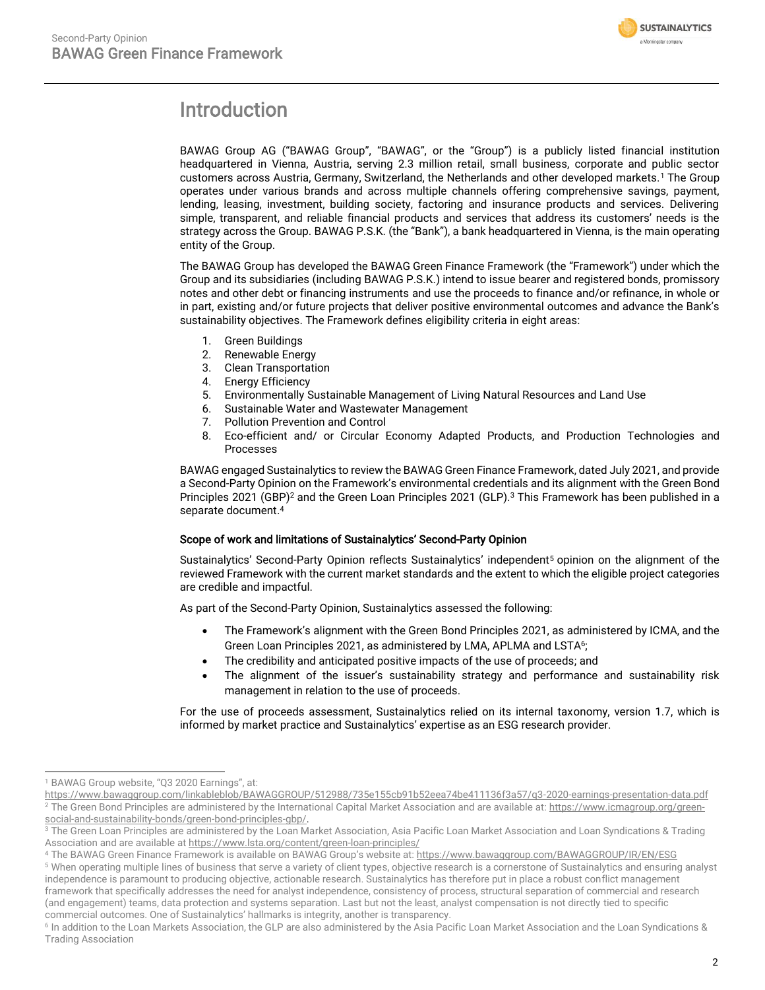

# <span id="page-1-0"></span>Introduction

BAWAG Group AG ("BAWAG Group", "BAWAG", or the "Group") is a publicly listed financial institution headquartered in Vienna, Austria, serving 2.3 million retail, small business, corporate and public sector customers across Austria, Germany, Switzerland, the Netherlands and other developed markets.<sup>1</sup> The Group operates under various brands and across multiple channels offering comprehensive savings, payment, lending, leasing, investment, building society, factoring and insurance products and services. Delivering simple, transparent, and reliable financial products and services that address its customers' needs is the strategy across the Group. BAWAG P.S.K. (the "Bank"), a bank headquartered in Vienna, is the main operating entity of the Group.

The BAWAG Group has developed the BAWAG Green Finance Framework (the "Framework") under which the Group and its subsidiaries (including BAWAG P.S.K.) intend to issue bearer and registered bonds, promissory notes and other debt or financing instruments and use the proceeds to finance and/or refinance, in whole or in part, existing and/or future projects that deliver positive environmental outcomes and advance the Bank's sustainability objectives. The Framework defines eligibility criteria in eight areas:

- 1. Green Buildings
- 2. Renewable Energy
- 3. Clean Transportation
- 4. Energy Efficiency
- 5. Environmentally Sustainable Management of Living Natural Resources and Land Use
- 6. Sustainable Water and Wastewater Management
- 7. Pollution Prevention and Control
- 8. Eco-efficient and/ or Circular Economy Adapted Products, and Production Technologies and Processes

BAWAG engaged Sustainalytics to review the BAWAG Green Finance Framework, dated July 2021, and provide a Second-Party Opinion on the Framework's environmental credentials and its alignment with the Green Bond Principles 2021 (GBP)<sup>2</sup> and the Green Loan Principles 2021 (GLP).<sup>3</sup> This Framework has been published in a separate document. 4

#### Scope of work and limitations of Sustainalytics' Second-Party Opinion

Sustainalytics' Second-Party Opinion reflects Sustainalytics' independent<sup>5</sup> opinion on the alignment of the reviewed Framework with the current market standards and the extent to which the eligible project categories are credible and impactful.

As part of the Second-Party Opinion, Sustainalytics assessed the following:

- The Framework's alignment with the Green Bond Principles 2021, as administered by ICMA, and the Green Loan Principles 2021, as administered by LMA, APLMA and LSTA<sup>6</sup>;
- The credibility and anticipated positive impacts of the use of proceeds; and
- The alignment of the issuer's sustainability strategy and performance and sustainability risk management in relation to the use of proceeds.

For the use of proceeds assessment, Sustainalytics relied on its internal taxonomy, version 1.7, which is informed by market practice and Sustainalytics' expertise as an ESG research provider.

<sup>&</sup>lt;sup>1</sup> BAWAG Group website, "Q3 2020 Earnings", at:

<https://www.bawaggroup.com/linkableblob/BAWAGGROUP/512988/735e155cb91b52eea74be411136f3a57/q3-2020-earnings-presentation-data.pdf> <sup>2</sup> The Green Bond Principles are administered by the International Capital Market Association and are available at: [https://www.icmagroup.org/green](https://www.icmagroup.org/green-social-and-sustainability-bonds/green-bond-principles-gbp/)[social-and-sustainability-bonds/green-bond-principles-gbp/.](https://www.icmagroup.org/green-social-and-sustainability-bonds/green-bond-principles-gbp/)

<sup>&</sup>lt;sup>3</sup> The Green Loan Principles are administered by the Loan Market Association, Asia Pacific Loan Market Association and Loan Syndications & Trading Association and are available a[t https://www.lsta.org/content/green-loan-principles/](https://www.lsta.org/content/green-loan-principles/)

<sup>4</sup> The BAWAG Green Finance Framework is available on BAWAG Group's website at: <https://www.bawaggroup.com/BAWAGGROUP/IR/EN/ESG>

<sup>5</sup> When operating multiple lines of business that serve a variety of client types, objective research is a cornerstone of Sustainalytics and ensuring analyst independence is paramount to producing objective, actionable research. Sustainalytics has therefore put in place a robust conflict management framework that specifically addresses the need for analyst independence, consistency of process, structural separation of commercial and research (and engagement) teams, data protection and systems separation. Last but not the least, analyst compensation is not directly tied to specific commercial outcomes. One of Sustainalytics' hallmarks is integrity, another is transparency.

<sup>6</sup> In addition to the Loan Markets Association, the GLP are also administered by the Asia Pacific Loan Market Association and the Loan Syndications & Trading Association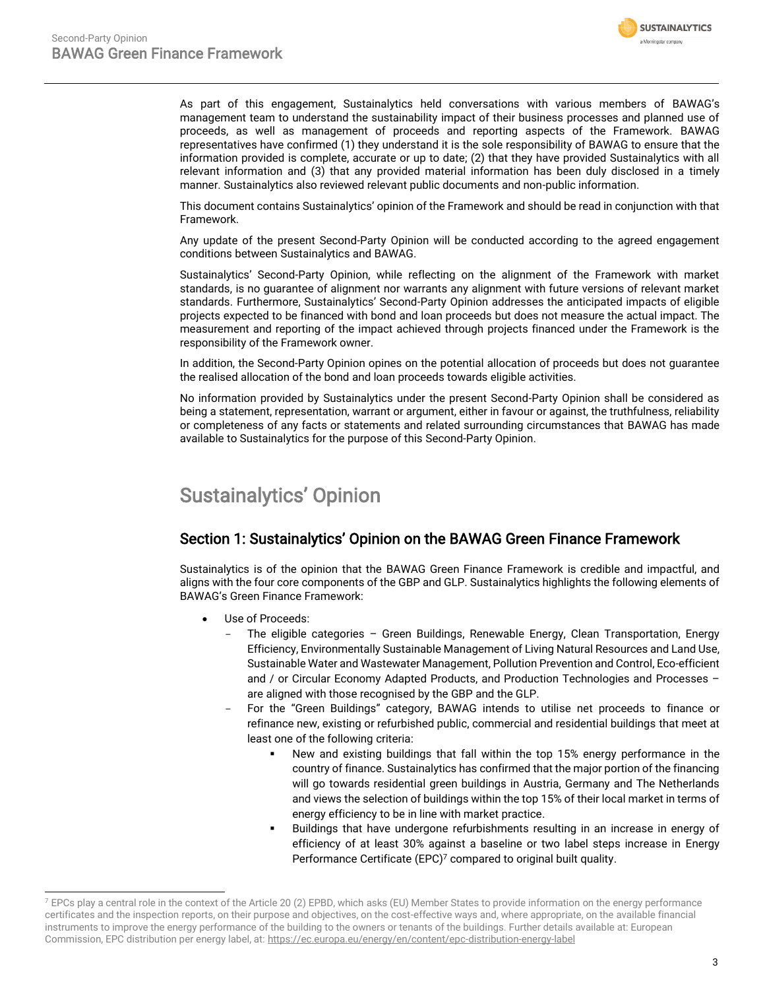

As part of this engagement, Sustainalytics held conversations with various members of BAWAG's management team to understand the sustainability impact of their business processes and planned use of proceeds, as well as management of proceeds and reporting aspects of the Framework. BAWAG representatives have confirmed (1) they understand it is the sole responsibility of BAWAG to ensure that the information provided is complete, accurate or up to date; (2) that they have provided Sustainalytics with all relevant information and (3) that any provided material information has been duly disclosed in a timely manner. Sustainalytics also reviewed relevant public documents and non-public information.

This document contains Sustainalytics' opinion of the Framework and should be read in conjunction with that Framework.

Any update of the present Second-Party Opinion will be conducted according to the agreed engagement conditions between Sustainalytics and BAWAG.

Sustainalytics' Second-Party Opinion, while reflecting on the alignment of the Framework with market standards, is no guarantee of alignment nor warrants any alignment with future versions of relevant market standards. Furthermore, Sustainalytics' Second-Party Opinion addresses the anticipated impacts of eligible projects expected to be financed with bond and loan proceeds but does not measure the actual impact. The measurement and reporting of the impact achieved through projects financed under the Framework is the responsibility of the Framework owner.

In addition, the Second-Party Opinion opines on the potential allocation of proceeds but does not guarantee the realised allocation of the bond and loan proceeds towards eligible activities.

No information provided by Sustainalytics under the present Second-Party Opinion shall be considered as being a statement, representation, warrant or argument, either in favour or against, the truthfulness, reliability or completeness of any facts or statements and related surrounding circumstances that BAWAG has made available to Sustainalytics for the purpose of this Second-Party Opinion.

# <span id="page-2-0"></span>Sustainalytics' Opinion

### Section 1: Sustainalytics' Opinion on the BAWAG Green Finance Framework

Sustainalytics is of the opinion that the BAWAG Green Finance Framework is credible and impactful, and aligns with the four core components of the GBP and GLP. Sustainalytics highlights the following elements of BAWAG's Green Finance Framework:

- Use of Proceeds:
	- The eligible categories Green Buildings, Renewable Energy, Clean Transportation, Energy Efficiency, Environmentally Sustainable Management of Living Natural Resources and Land Use, Sustainable Water and Wastewater Management, Pollution Prevention and Control, Eco-efficient and / or Circular Economy Adapted Products, and Production Technologies and Processes – are aligned with those recognised by the GBP and the GLP.
	- For the "Green Buildings" category, BAWAG intends to utilise net proceeds to finance or refinance new, existing or refurbished public, commercial and residential buildings that meet at least one of the following criteria:
		- New and existing buildings that fall within the top 15% energy performance in the country of finance. Sustainalytics has confirmed that the major portion of the financing will go towards residential green buildings in Austria, Germany and The Netherlands and views the selection of buildings within the top 15% of their local market in terms of energy efficiency to be in line with market practice.
		- Buildings that have undergone refurbishments resulting in an increase in energy of efficiency of at least 30% against a baseline or two label steps increase in Energy Performance Certificate (EPC)<sup>7</sup> compared to original built quality.

 $7$  EPCs play a central role in the context of the Article 20 (2) EPBD, which asks (EU) Member States to provide information on the energy performance certificates and the inspection reports, on their purpose and objectives, on the cost-effective ways and, where appropriate, on the available financial instruments to improve the energy performance of the building to the owners or tenants of the buildings. Further details available at: European Commission, EPC distribution per energy label, at[: https://ec.europa.eu/energy/en/content/epc-distribution-energy-label](https://ec.europa.eu/energy/en/content/epc-distribution-energy-label)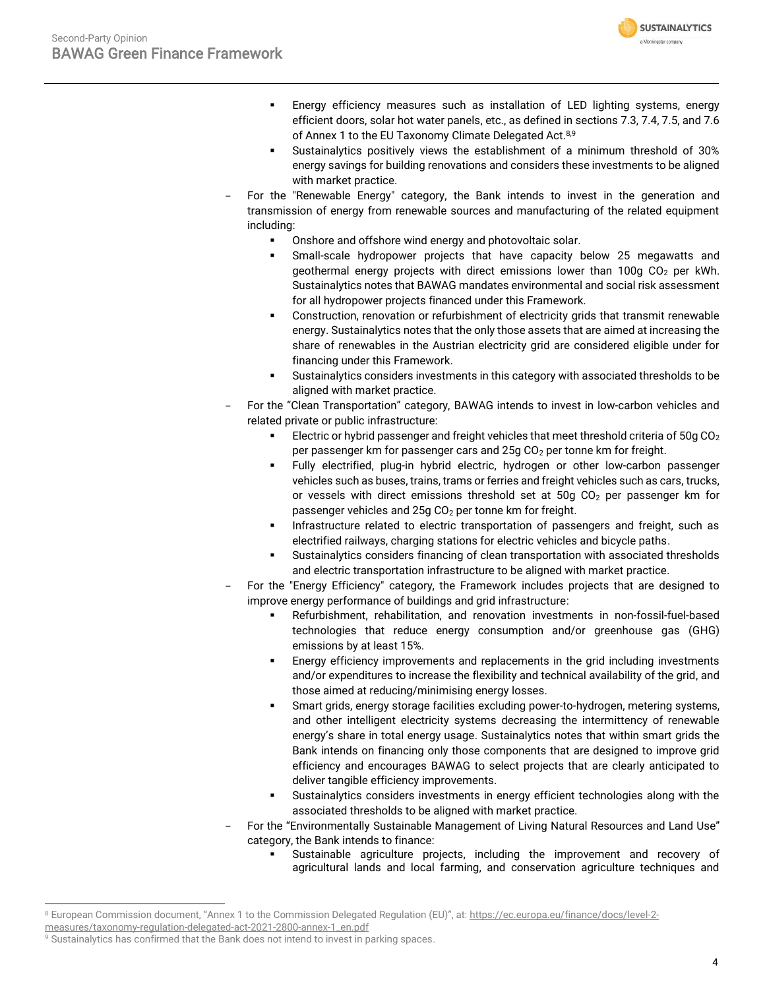

- Energy efficiency measures such as installation of LED lighting systems, energy efficient doors, solar hot water panels, etc., as defined in sections 7.3, 7.4, 7.5, and 7.6 of Annex 1 to the EU Taxonomy Climate Delegated Act.<sup>8,9</sup>
- Sustainalytics positively views the establishment of a minimum threshold of 30% energy savings for building renovations and considers these investments to be aligned with market practice.
- For the "Renewable Energy" category, the Bank intends to invest in the generation and transmission of energy from renewable sources and manufacturing of the related equipment including:
	- Onshore and offshore wind energy and photovoltaic solar.
	- Small-scale hydropower projects that have capacity below 25 megawatts and geothermal energy projects with direct emissions lower than  $100q$  CO<sub>2</sub> per kWh. Sustainalytics notes that BAWAG mandates environmental and social risk assessment for all hydropower projects financed under this Framework.
	- Construction, renovation or refurbishment of electricity grids that transmit renewable energy. Sustainalytics notes that the only those assets that are aimed at increasing the share of renewables in the Austrian electricity grid are considered eligible under for financing under this Framework.
	- Sustainalytics considers investments in this category with associated thresholds to be aligned with market practice.
- For the "Clean Transportation" category, BAWAG intends to invest in low-carbon vehicles and related private or public infrastructure:
	- Electric or hybrid passenger and freight vehicles that meet threshold criteria of 50g CO<sub>2</sub> per passenger km for passenger cars and  $25q CO<sub>2</sub>$  per tonne km for freight.
	- Fully electrified, plug-in hybrid electric, hydrogen or other low-carbon passenger vehicles such as buses, trains, trams or ferries and freight vehicles such as cars, trucks, or vessels with direct emissions threshold set at  $50g$  CO<sub>2</sub> per passenger km for passenger vehicles and 25g CO<sub>2</sub> per tonne km for freight.
	- **.** Infrastructure related to electric transportation of passengers and freight, such as electrified railways, charging stations for electric vehicles and bicycle paths.
	- Sustainalytics considers financing of clean transportation with associated thresholds and electric transportation infrastructure to be aligned with market practice.
- For the "Energy Efficiency" category, the Framework includes projects that are designed to improve energy performance of buildings and grid infrastructure:
	- Refurbishment, rehabilitation, and renovation investments in non-fossil-fuel-based technologies that reduce energy consumption and/or greenhouse gas (GHG) emissions by at least 15%.
	- Energy efficiency improvements and replacements in the grid including investments and/or expenditures to increase the flexibility and technical availability of the grid, and those aimed at reducing/minimising energy losses.
	- **EXECT** Smart grids, energy storage facilities excluding power-to-hydrogen, metering systems, and other intelligent electricity systems decreasing the intermittency of renewable energy's share in total energy usage. Sustainalytics notes that within smart grids the Bank intends on financing only those components that are designed to improve grid efficiency and encourages BAWAG to select projects that are clearly anticipated to deliver tangible efficiency improvements.
	- Sustainalytics considers investments in energy efficient technologies along with the associated thresholds to be aligned with market practice.
- For the "Environmentally Sustainable Management of Living Natural Resources and Land Use" category, the Bank intends to finance:
	- Sustainable agriculture projects, including the improvement and recovery of agricultural lands and local farming, and conservation agriculture techniques and

<sup>8</sup> European Commission document, "Annex 1 to the Commission Delegated Regulation (EU)", at: [https://ec.europa.eu/finance/docs/level-2-](https://ec.europa.eu/finance/docs/level-2-measures/taxonomy-regulation-delegated-act-2021-2800-annex-1_en.pdf)

[measures/taxonomy-regulation-delegated-act-2021-2800-annex-1\\_en.pdf](https://ec.europa.eu/finance/docs/level-2-measures/taxonomy-regulation-delegated-act-2021-2800-annex-1_en.pdf)

<sup>&</sup>lt;sup>9</sup> Sustainalytics has confirmed that the Bank does not intend to invest in parking spaces.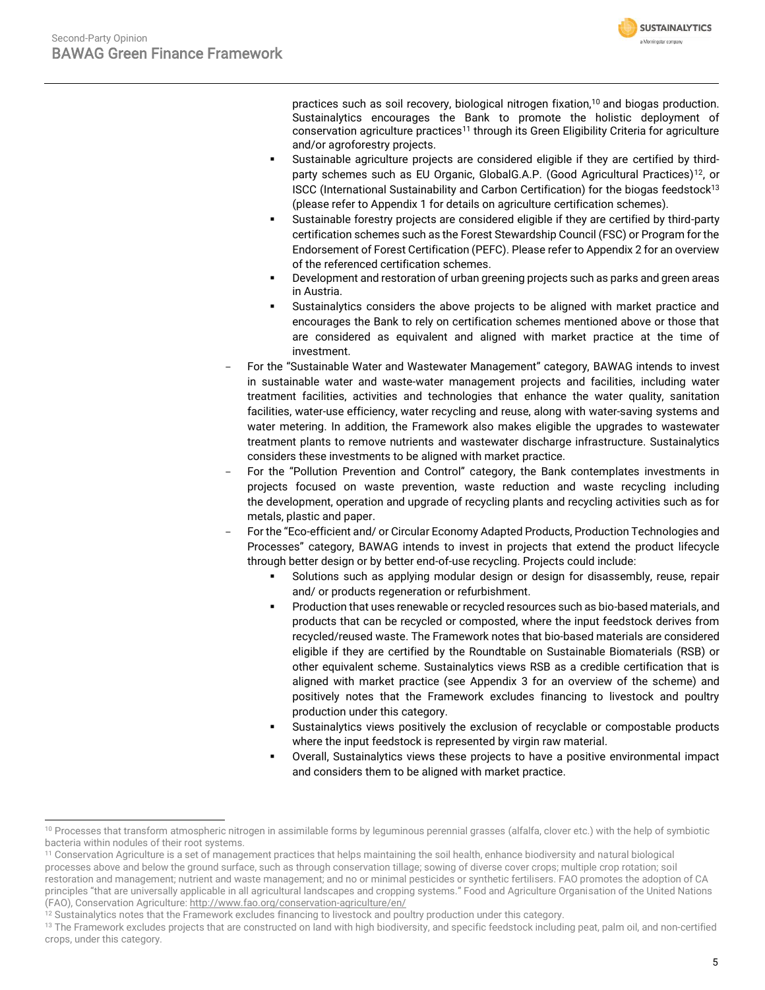

practices such as soil recovery, biological nitrogen fixation,<sup>10</sup> and biogas production. Sustainalytics encourages the Bank to promote the holistic deployment of conservation agriculture practices<sup>11</sup> through its Green Eligibility Criteria for agriculture and/or agroforestry projects.

- Sustainable agriculture projects are considered eligible if they are certified by thirdparty schemes such as EU Organic, GlobalG.A.P. (Good Agricultural Practices)<sup>12</sup>, or ISCC (International Sustainability and Carbon Certification) for the biogas feedstock<sup>13</sup> (please refer to Appendix 1 for details on agriculture certification schemes).
- Sustainable forestry projects are considered eligible if they are certified by third-party certification schemes such as the Forest Stewardship Council (FSC) or Program for the Endorsement of Forest Certification (PEFC). Please refer to Appendix 2 for an overview of the referenced certification schemes.
- Development and restoration of urban greening projects such as parks and green areas in Austria.
- Sustainalytics considers the above projects to be aligned with market practice and encourages the Bank to rely on certification schemes mentioned above or those that are considered as equivalent and aligned with market practice at the time of investment.
- For the "Sustainable Water and Wastewater Management" category, BAWAG intends to invest in sustainable water and waste-water management projects and facilities, including water treatment facilities, activities and technologies that enhance the water quality, sanitation facilities, water-use efficiency, water recycling and reuse, along with water-saving systems and water metering. In addition, the Framework also makes eligible the upgrades to wastewater treatment plants to remove nutrients and wastewater discharge infrastructure. Sustainalytics considers these investments to be aligned with market practice.
- For the "Pollution Prevention and Control" category, the Bank contemplates investments in projects focused on waste prevention, waste reduction and waste recycling including the development, operation and upgrade of recycling plants and recycling activities such as for metals, plastic and paper.
- For the "Eco-efficient and/ or Circular Economy Adapted Products, Production Technologies and Processes" category, BAWAG intends to invest in projects that extend the product lifecycle through better design or by better end-of-use recycling. Projects could include:
	- Solutions such as applying modular design or design for disassembly, reuse, repair and/ or products regeneration or refurbishment.
	- Production that uses renewable or recycled resources such as bio-based materials, and products that can be recycled or composted, where the input feedstock derives from recycled/reused waste. The Framework notes that bio-based materials are considered eligible if they are certified by the Roundtable on Sustainable Biomaterials (RSB) or other equivalent scheme. Sustainalytics views RSB as a credible certification that is aligned with market practice (see Appendix 3 for an overview of the scheme) and positively notes that the Framework excludes financing to livestock and poultry production under this category.
	- Sustainalytics views positively the exclusion of recyclable or compostable products where the input feedstock is represented by virgin raw material.
	- Overall, Sustainalytics views these projects to have a positive environmental impact and considers them to be aligned with market practice.

<sup>10</sup> Processes that transform atmospheric nitrogen in assimilable forms by leguminous perennial grasses (alfalfa, clover etc.) with the help of symbiotic bacteria within nodules of their root systems.

<sup>&</sup>lt;sup>11</sup> Conservation Agriculture is a set of management practices that helps maintaining the soil health, enhance biodiversity and natural biological

processes above and below the ground surface, such as through conservation tillage; sowing of diverse cover crops; multiple crop rotation; soil restoration and management; nutrient and waste management; and no or minimal pesticides or synthetic fertilisers. FAO promotes the adoption of CA principles "that are universally applicable in all agricultural landscapes and cropping systems." Food and Agriculture Organisation of the United Nations (FAO), Conservation Agriculture[: http://www.fao.org/conservation-agriculture/en/](http://www.fao.org/conservation-agriculture/en/)

<sup>&</sup>lt;sup>12</sup> Sustainalytics notes that the Framework excludes financing to livestock and poultry production under this category.

<sup>&</sup>lt;sup>13</sup> The Framework excludes projects that are constructed on land with high biodiversity, and specific feedstock including peat, palm oil, and non-certified crops, under this category.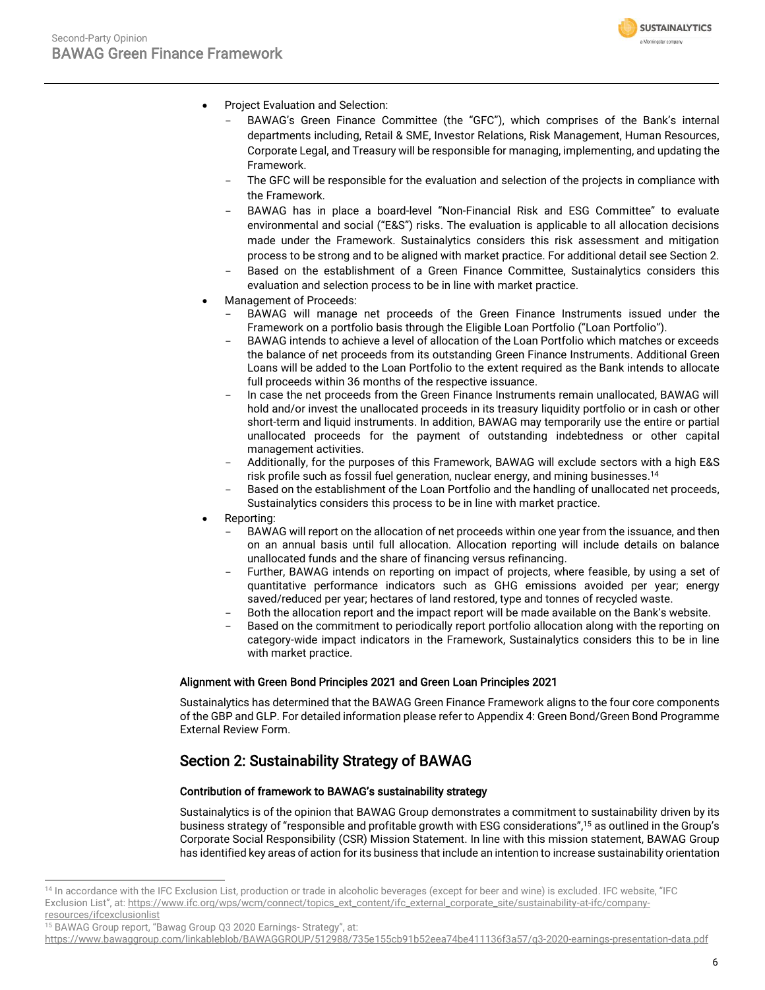

- Project Evaluation and Selection:
	- BAWAG's Green Finance Committee (the "GFC"), which comprises of the Bank's internal departments including, Retail & SME, Investor Relations, Risk Management, Human Resources, Corporate Legal, and Treasury will be responsible for managing, implementing, and updating the Framework.
	- The GFC will be responsible for the evaluation and selection of the projects in compliance with the Framework.
	- BAWAG has in place a board-level "Non-Financial Risk and ESG Committee" to evaluate environmental and social ("E&S") risks. The evaluation is applicable to all allocation decisions made under the Framework. Sustainalytics considers this risk assessment and mitigation process to be strong and to be aligned with market practice. For additional detail see Section 2.
	- Based on the establishment of a Green Finance Committee, Sustainalytics considers this evaluation and selection process to be in line with market practice.
- Management of Proceeds:
	- BAWAG will manage net proceeds of the Green Finance Instruments issued under the Framework on a portfolio basis through the Eligible Loan Portfolio ("Loan Portfolio").
	- BAWAG intends to achieve a level of allocation of the Loan Portfolio which matches or exceeds the balance of net proceeds from its outstanding Green Finance Instruments. Additional Green Loans will be added to the Loan Portfolio to the extent required as the Bank intends to allocate full proceeds within 36 months of the respective issuance.
	- In case the net proceeds from the Green Finance Instruments remain unallocated, BAWAG will hold and/or invest the unallocated proceeds in its treasury liquidity portfolio or in cash or other short-term and liquid instruments. In addition, BAWAG may temporarily use the entire or partial unallocated proceeds for the payment of outstanding indebtedness or other capital management activities.
	- Additionally, for the purposes of this Framework, BAWAG will exclude sectors with a high E&S risk profile such as fossil fuel generation, nuclear energy, and mining businesses. 14
	- Based on the establishment of the Loan Portfolio and the handling of unallocated net proceeds, Sustainalytics considers this process to be in line with market practice.
- Reporting:
	- BAWAG will report on the allocation of net proceeds within one year from the issuance, and then on an annual basis until full allocation. Allocation reporting will include details on balance unallocated funds and the share of financing versus refinancing.
	- Further, BAWAG intends on reporting on impact of projects, where feasible, by using a set of quantitative performance indicators such as GHG emissions avoided per year; energy saved/reduced per year; hectares of land restored, type and tonnes of recycled waste.
	- Both the allocation report and the impact report will be made available on the Bank's website.
	- Based on the commitment to periodically report portfolio allocation along with the reporting on category-wide impact indicators in the Framework, Sustainalytics considers this to be in line with market practice.

#### Alignment with Green Bond Principles 2021 and Green Loan Principles 2021

Sustainalytics has determined that the BAWAG Green Finance Framework aligns to the four core components of the GBP and GLP. For detailed information please refer to Appendix 4: Green Bond/Green Bond Programme External Review Form.

# Section 2: Sustainability Strategy of BAWAG

### Contribution of framework to BAWAG's sustainability strategy

Sustainalytics is of the opinion that BAWAG Group demonstrates a commitment to sustainability driven by its business strategy of "responsible and profitable growth with ESG considerations", <sup>15</sup> as outlined in the Group's Corporate Social Responsibility (CSR) Mission Statement. In line with this mission statement, BAWAG Group has identified key areas of action for its business that include an intention to increase sustainability orientation

<sup>15</sup> BAWAG Group report, "Bawag Group Q3 2020 Earnings- Strategy", at:

<sup>14</sup> In accordance with the IFC Exclusion List, production or trade in alcoholic beverages (except for beer and wine) is excluded. IFC website, "IFC Exclusion List", at: [https://www.ifc.org/wps/wcm/connect/topics\\_ext\\_content/ifc\\_external\\_corporate\\_site/sustainability-at-ifc/company](https://www.ifc.org/wps/wcm/connect/topics_ext_content/ifc_external_corporate_site/sustainability-at-ifc/company-resources/ifcexclusionlist)[resources/ifcexclusionlist](https://www.ifc.org/wps/wcm/connect/topics_ext_content/ifc_external_corporate_site/sustainability-at-ifc/company-resources/ifcexclusionlist)

<https://www.bawaggroup.com/linkableblob/BAWAGGROUP/512988/735e155cb91b52eea74be411136f3a57/q3-2020-earnings-presentation-data.pdf>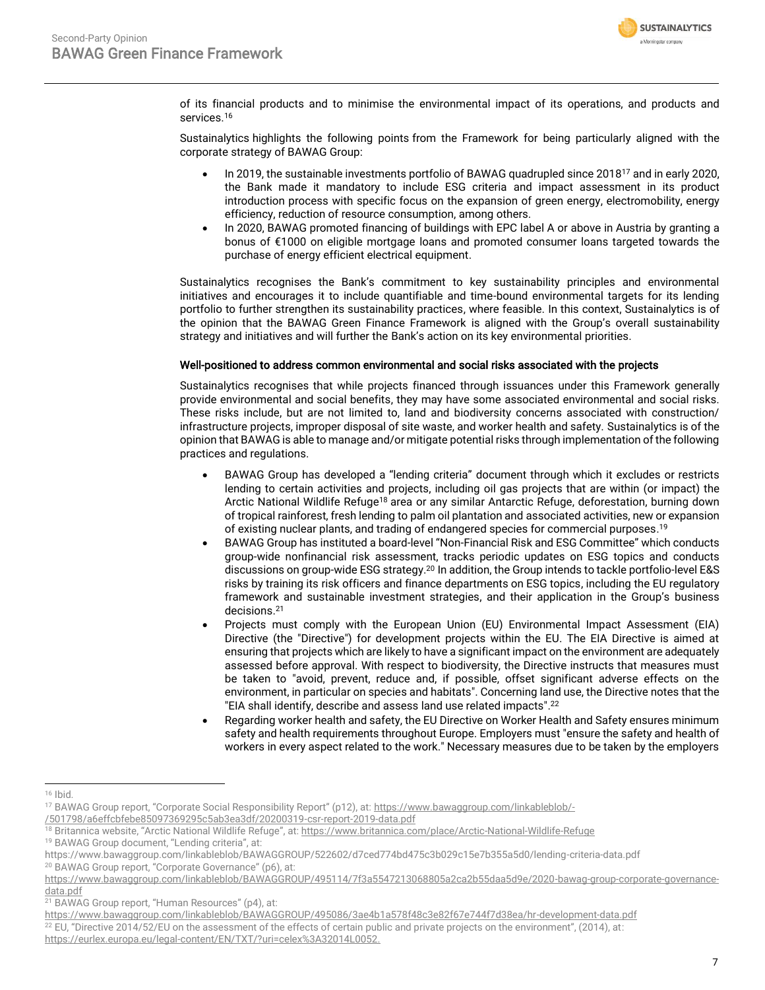

of its financial products and to minimise the environmental impact of its operations, and products and services. 16

Sustainalytics highlights the following points from the Framework for being particularly aligned with the corporate strategy of BAWAG Group:

- In 2019, the sustainable investments portfolio of BAWAG quadrupled since 2018<sup>17</sup> and in early 2020, the Bank made it mandatory to include ESG criteria and impact assessment in its product introduction process with specific focus on the expansion of green energy, electromobility, energy efficiency, reduction of resource consumption, among others.
- In 2020, BAWAG promoted financing of buildings with EPC label A or above in Austria by granting a bonus of €1000 on eligible mortgage loans and promoted consumer loans targeted towards the purchase of energy efficient electrical equipment.

Sustainalytics recognises the Bank's commitment to key sustainability principles and environmental initiatives and encourages it to include quantifiable and time-bound environmental targets for its lending portfolio to further strengthen its sustainability practices, where feasible. In this context, Sustainalytics is of the opinion that the BAWAG Green Finance Framework is aligned with the Group's overall sustainability strategy and initiatives and will further the Bank's action on its key environmental priorities.

#### Well-positioned to address common environmental and social risks associated with the projects

Sustainalytics recognises that while projects financed through issuances under this Framework generally provide environmental and social benefits, they may have some associated environmental and social risks. These risks include, but are not limited to, land and biodiversity concerns associated with construction/ infrastructure projects, improper disposal of site waste, and worker health and safety. Sustainalytics is of the opinion that BAWAG is able to manage and/or mitigate potential risks through implementation of the following practices and regulations.

- BAWAG Group has developed a "lending criteria" document through which it excludes or restricts lending to certain activities and projects, including oil gas projects that are within (or impact) the Arctic National Wildlife Refuge<sup>18</sup> area or any similar Antarctic Refuge, deforestation, burning down of tropical rainforest, fresh lending to palm oil plantation and associated activities, new or expansion of existing nuclear plants, and trading of endangered species for commercial purposes. 19
- BAWAG Group has instituted a board-level "Non-Financial Risk and ESG Committee" which conducts group-wide nonfinancial risk assessment, tracks periodic updates on ESG topics and conducts discussions on group-wide ESG strategy.<sup>20</sup> In addition, the Group intends to tackle portfolio-level E&S risks by training its risk officers and finance departments on ESG topics, including the EU regulatory framework and sustainable investment strategies, and their application in the Group's business decisions. 21
- Projects must comply with the European Union (EU) Environmental Impact Assessment (EIA) Directive (the "Directive") for development projects within the EU. The EIA Directive is aimed at ensuring that projects which are likely to have a significant impact on the environment are adequately assessed before approval. With respect to biodiversity, the Directive instructs that measures must be taken to "avoid, prevent, reduce and, if possible, offset significant adverse effects on the environment, in particular on species and habitats". Concerning land use, the Directive notes that the "EIA shall identify, describe and assess land use related impacts". 22
- Regarding worker health and safety, the EU Directive on Worker Health and Safety ensures minimum safety and health requirements throughout Europe. Employers must "ensure the safety and health of workers in every aspect related to the work." Necessary measures due to be taken by the employers

<sup>16</sup> Ibid.

<sup>17</sup> BAWAG Group report, "Corporate Social Responsibility Report" (p12), at: [https://www.bawaggroup.com/linkableblob/-](https://www.bawaggroup.com/linkableblob/-/501798/a6effcbfebe85097369295c5ab3ea3df/20200319-csr-report-2019-data.pdf)

[<sup>/501798/</sup>a6effcbfebe85097369295c5ab3ea3df/20200319-csr-report-2019-data.pdf](https://www.bawaggroup.com/linkableblob/-/501798/a6effcbfebe85097369295c5ab3ea3df/20200319-csr-report-2019-data.pdf)

<sup>18</sup> Britannica website, "Arctic National Wildlife Refuge", at: <https://www.britannica.com/place/Arctic-National-Wildlife-Refuge>

<sup>19</sup> BAWAG Group document, "Lending criteria", at:

https://www.bawaggroup.com/linkableblob/BAWAGGROUP/522602/d7ced774bd475c3b029c15e7b355a5d0/lending-criteria-data.pdf <sup>20</sup> BAWAG Group report, "Corporate Governance" (p6), at:

[https://www.bawaggroup.com/linkableblob/BAWAGGROUP/495114/7f3a5547213068805a2ca2b55daa5d9e/2020-bawag-group-corporate-governance](https://www.bawaggroup.com/linkableblob/BAWAGGROUP/495114/7f3a5547213068805a2ca2b55daa5d9e/2020-bawag-group-corporate-governance-data.pdf)[data.pdf](https://www.bawaggroup.com/linkableblob/BAWAGGROUP/495114/7f3a5547213068805a2ca2b55daa5d9e/2020-bawag-group-corporate-governance-data.pdf)

<sup>21</sup> BAWAG Group report, "Human Resources" (p4), at:

<https://www.bawaggroup.com/linkableblob/BAWAGGROUP/495086/3ae4b1a578f48c3e82f67e744f7d38ea/hr-development-data.pdf>

 $22$  EU, "Directive 2014/52/EU on the assessment of the effects of certain public and private projects on the environment", (2014), at:

[https://eurlex.europa.eu/legal-content/EN/TXT/?uri=celex%3A32014L0052.](https://eurlex.europa.eu/legal-content/EN/TXT/?uri=celex%3A32014L0052)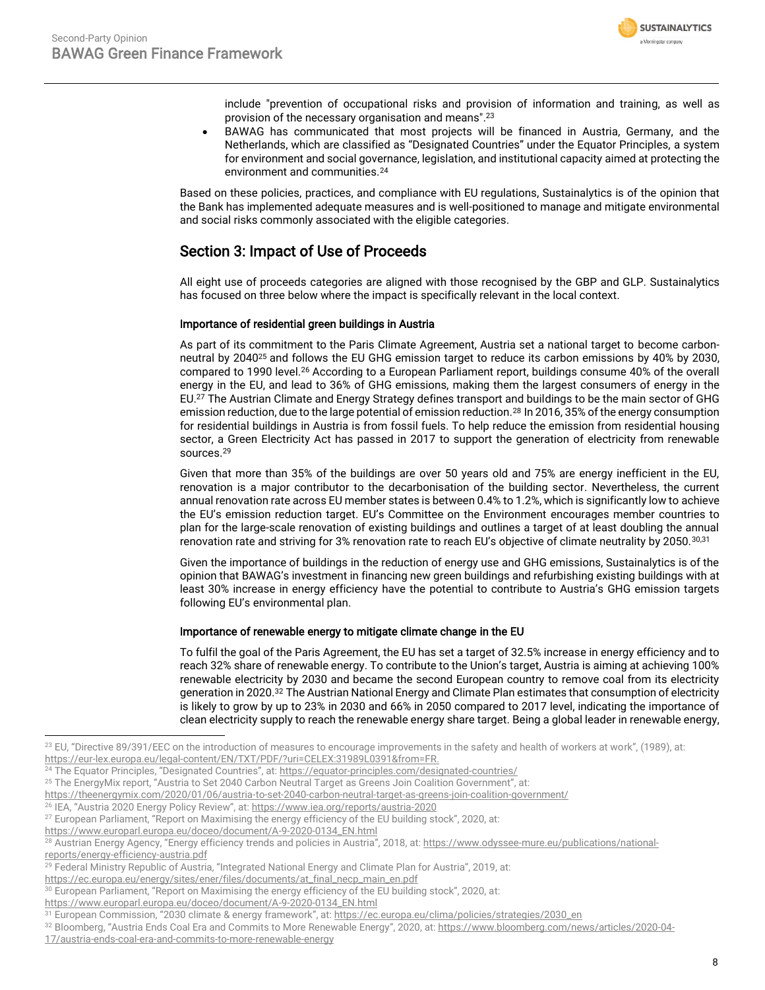

include "prevention of occupational risks and provision of information and training, as well as provision of the necessary organisation and means". 23

• BAWAG has communicated that most projects will be financed in Austria, Germany, and the Netherlands, which are classified as "Designated Countries" under the Equator Principles, a system for environment and social governance, legislation, and institutional capacity aimed at protecting the environment and communities.<sup>24</sup>

Based on these policies, practices, and compliance with EU regulations, Sustainalytics is of the opinion that the Bank has implemented adequate measures and is well-positioned to manage and mitigate environmental and social risks commonly associated with the eligible categories.

## Section 3: Impact of Use of Proceeds

All eight use of proceeds categories are aligned with those recognised by the GBP and GLP. Sustainalytics has focused on three below where the impact is specifically relevant in the local context.

### Importance of residential green buildings in Austria

As part of its commitment to the Paris Climate Agreement, Austria set a national target to become carbonneutral by 2040<sup>25</sup> and follows the EU GHG emission target to reduce its carbon emissions by 40% by 2030, compared to 1990 level.<sup>26</sup> According to a European Parliament report, buildings consume 40% of the overall energy in the EU, and lead to 36% of GHG emissions, making them the largest consumers of energy in the EU.<sup>27</sup> The Austrian Climate and Energy Strategy defines transport and buildings to be the main sector of GHG emission reduction, due to the large potential of emission reduction.<sup>28</sup> In 2016, 35% of the energy consumption for residential buildings in Austria is from fossil fuels. To help reduce the emission from residential housing sector, a Green Electricity Act has passed in 2017 to support the generation of electricity from renewable sources.<sup>29</sup>

Given that more than 35% of the buildings are over 50 years old and 75% are energy inefficient in the EU, renovation is a major contributor to the decarbonisation of the building sector. Nevertheless, the current annual renovation rate across EU member states is between 0.4% to 1.2%, which is significantly low to achieve the EU's emission reduction target. EU's Committee on the Environment encourages member countries to plan for the large-scale renovation of existing buildings and outlines a target of at least doubling the annual renovation rate and striving for 3% renovation rate to reach EU's objective of climate neutrality by 2050.<sup>30,31</sup>

Given the importance of buildings in the reduction of energy use and GHG emissions, Sustainalytics is of the opinion that BAWAG's investment in financing new green buildings and refurbishing existing buildings with at least 30% increase in energy efficiency have the potential to contribute to Austria's GHG emission targets following EU's environmental plan.

#### Importance of renewable energy to mitigate climate change in the EU

To fulfil the goal of the Paris Agreement, the EU has set a target of 32.5% increase in energy efficiency and to reach 32% share of renewable energy. To contribute to the Union's target, Austria is aiming at achieving 100% renewable electricity by 2030 and became the second European country to remove coal from its electricity generation in 2020.<sup>32</sup> The Austrian National Energy and Climate Plan estimates that consumption of electricity is likely to grow by up to 23% in 2030 and 66% in 2050 compared to 2017 level, indicating the importance of clean electricity supply to reach the renewable energy share target. Being a global leader in renewable energy,

<sup>&</sup>lt;sup>23</sup> EU, "Directive 89/391/EEC on the introduction of measures to encourage improvements in the safety and health of workers at work", (1989), at:

[https://eur-lex.europa.eu/legal-content/EN/TXT/PDF/?uri=CELEX:31989L0391&from=FR.](https://eur-lex.europa.eu/legal-content/EN/TXT/PDF/?uri=CELEX:31989L0391&from=FR) 

<sup>&</sup>lt;sup>24</sup> The Equator Principles, "Designated Countries", at: <https://equator-principles.com/designated-countries/>

<sup>&</sup>lt;sup>25</sup> The EnergyMix report, "Austria to Set 2040 Carbon Neutral Target as Greens Join Coalition Government", at:

<https://theenergymix.com/2020/01/06/austria-to-set-2040-carbon-neutral-target-as-greens-join-coalition-government/>

<sup>26</sup> IEA, "Austria 2020 Energy Policy Review", at: <https://www.iea.org/reports/austria-2020>

<sup>&</sup>lt;sup>27</sup> European Parliament, "Report on Maximising the energy efficiency of the EU building stock", 2020, at:

[https://www.europarl.europa.eu/doceo/document/A-9-2020-0134\\_EN.html](https://www.europarl.europa.eu/doceo/document/A-9-2020-0134_EN.html)

<sup>&</sup>lt;sup>28</sup> Austrian Energy Agency, "Energy efficiency trends and policies in Austria", 2018, at: [https://www.odyssee-mure.eu/publications/national](https://www.odyssee-mure.eu/publications/national-reports/energy-efficiency-austria.pdf)[reports/energy-efficiency-austria.pdf](https://www.odyssee-mure.eu/publications/national-reports/energy-efficiency-austria.pdf)

<sup>29</sup> Federal Ministry Republic of Austria, "Integrated National Energy and Climate Plan for Austria", 2019, at:

[https://ec.europa.eu/energy/sites/ener/files/documents/at\\_final\\_necp\\_main\\_en.pdf](https://ec.europa.eu/energy/sites/ener/files/documents/at_final_necp_main_en.pdf)

<sup>&</sup>lt;sup>30</sup> European Parliament, "Report on Maximising the energy efficiency of the EU building stock", 2020, at:

[https://www.europarl.europa.eu/doceo/document/A-9-2020-0134\\_EN.html](https://www.europarl.europa.eu/doceo/document/A-9-2020-0134_EN.html)

<sup>31</sup> European Commission, "2030 climate & energy framework", at: [https://ec.europa.eu/clima/policies/strategies/2030\\_en](https://ec.europa.eu/clima/policies/strategies/2030_en)

<sup>32</sup> Bloomberg, "Austria Ends Coal Era and Commits to More Renewable Energy", 2020, at: [https://www.bloomberg.com/news/articles/2020-04-](https://www.bloomberg.com/news/articles/2020-04-17/austria-ends-coal-era-and-commits-to-more-renewable-energy)

[<sup>17/</sup>austria-ends-coal-era-and-commits-to-more-renewable-energy](https://www.bloomberg.com/news/articles/2020-04-17/austria-ends-coal-era-and-commits-to-more-renewable-energy)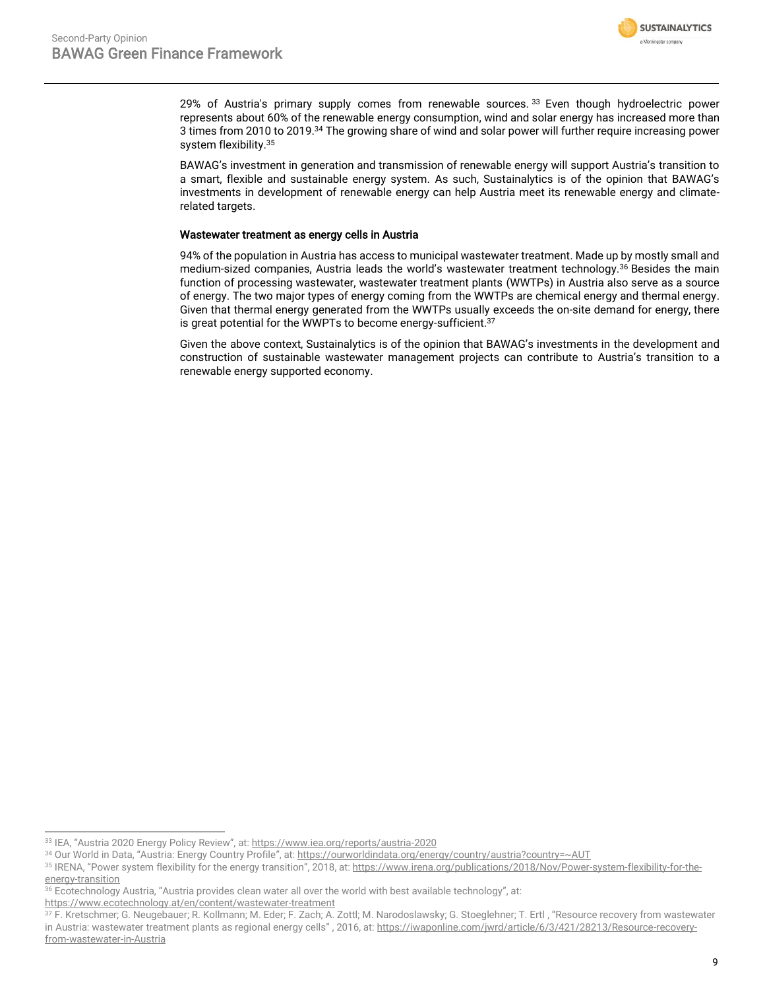

29% of Austria's primary supply comes from renewable sources. 33 Even though hydroelectric power represents about 60% of the renewable energy consumption, wind and solar energy has increased more than 3 times from 2010 to 2019.<sup>34</sup> The growing share of wind and solar power will further require increasing power system flexibility. 35

BAWAG's investment in generation and transmission of renewable energy will support Austria's transition to a smart, flexible and sustainable energy system. As such, Sustainalytics is of the opinion that BAWAG's investments in development of renewable energy can help Austria meet its renewable energy and climaterelated targets.

#### Wastewater treatment as energy cells in Austria

94% of the population in Austria has access to municipal wastewater treatment. Made up by mostly small and medium-sized companies, Austria leads the world's wastewater treatment technology.<sup>36</sup> Besides the main function of processing wastewater, wastewater treatment plants (WWTPs) in Austria also serve as a source of energy. The two major types of energy coming from the WWTPs are chemical energy and thermal energy. Given that thermal energy generated from the WWTPs usually exceeds the on-site demand for energy, there is great potential for the WWPTs to become energy-sufficient.<sup>37</sup>

Given the above context, Sustainalytics is of the opinion that BAWAG's investments in the development and construction of sustainable wastewater management projects can contribute to Austria's transition to a renewable energy supported economy.

<sup>33</sup> IEA, "Austria 2020 Energy Policy Review", at: <https://www.iea.org/reports/austria-2020>

<sup>34</sup> Our World in Data, "Austria: Energy Country Profile", at: <https://ourworldindata.org/energy/country/austria?country=~AUT>

<sup>35</sup> IRENA, "Power system flexibility for the energy transition", 2018, at: [https://www.irena.org/publications/2018/Nov/Power-system-flexibility-for-the](https://www.irena.org/publications/2018/Nov/Power-system-flexibility-for-the-energy-transition)[energy-transition](https://www.irena.org/publications/2018/Nov/Power-system-flexibility-for-the-energy-transition)

<sup>36</sup> Ecotechnology Austria, "Austria provides clean water all over the world with best available technology", at: <https://www.ecotechnology.at/en/content/wastewater-treatment>

<sup>37</sup> F. Kretschmer; G. Neugebauer; R. Kollmann; M. Eder; F. Zach; A. Zottl; M. Narodoslawsky; G. Stoeglehner; T. Ertl , "Resource recovery from wastewater in Austria: wastewater treatment plants as regional energy cells", 2016, at[: https://iwaponline.com/jwrd/article/6/3/421/28213/Resource-recovery](https://iwaponline.com/jwrd/article/6/3/421/28213/Resource-recovery-from-wastewater-in-Austria)[from-wastewater-in-Austria](https://iwaponline.com/jwrd/article/6/3/421/28213/Resource-recovery-from-wastewater-in-Austria)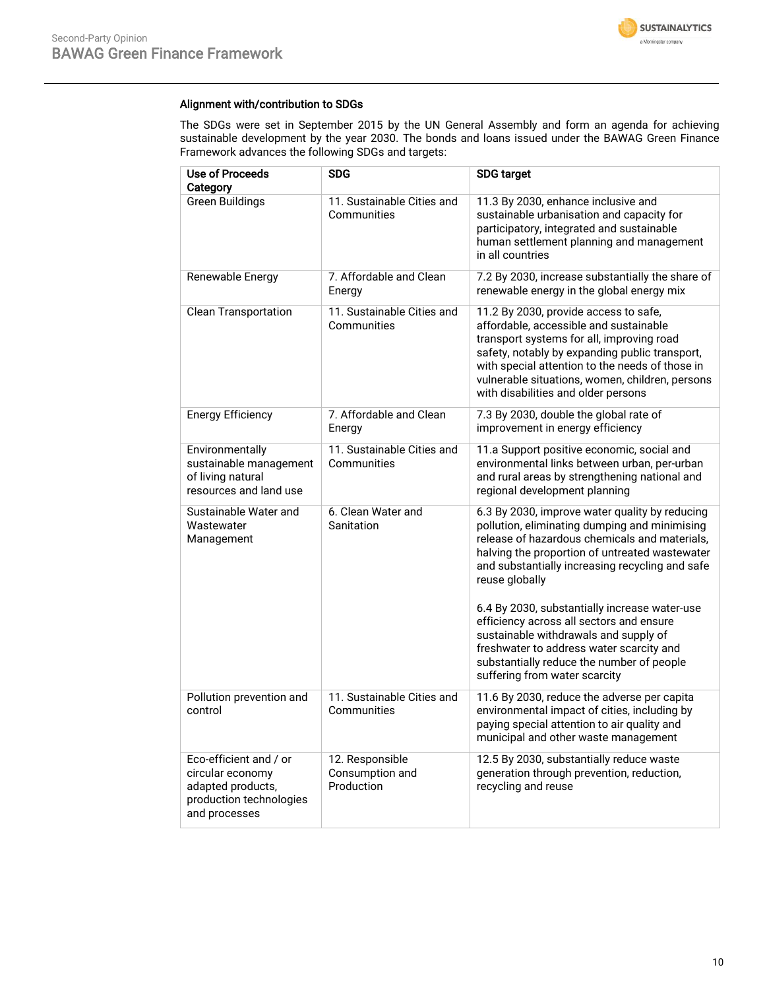

### Alignment with/contribution to SDGs

The SDGs were set in September 2015 by the UN General Assembly and form an agenda for achieving sustainable development by the year 2030. The bonds and loans issued under the BAWAG Green Finance Framework advances the following SDGs and targets:

| <b>Use of Proceeds</b><br>Category                                                                          | <b>SDG</b>                                       | <b>SDG target</b>                                                                                                                                                                                                                                                                                                                                                                                                                                                                                                                       |
|-------------------------------------------------------------------------------------------------------------|--------------------------------------------------|-----------------------------------------------------------------------------------------------------------------------------------------------------------------------------------------------------------------------------------------------------------------------------------------------------------------------------------------------------------------------------------------------------------------------------------------------------------------------------------------------------------------------------------------|
| <b>Green Buildings</b>                                                                                      | 11. Sustainable Cities and<br>Communities        | 11.3 By 2030, enhance inclusive and<br>sustainable urbanisation and capacity for<br>participatory, integrated and sustainable<br>human settlement planning and management<br>in all countries                                                                                                                                                                                                                                                                                                                                           |
| Renewable Energy                                                                                            | 7. Affordable and Clean<br>Energy                | 7.2 By 2030, increase substantially the share of<br>renewable energy in the global energy mix                                                                                                                                                                                                                                                                                                                                                                                                                                           |
| <b>Clean Transportation</b>                                                                                 | 11. Sustainable Cities and<br>Communities        | 11.2 By 2030, provide access to safe,<br>affordable, accessible and sustainable<br>transport systems for all, improving road<br>safety, notably by expanding public transport,<br>with special attention to the needs of those in<br>vulnerable situations, women, children, persons<br>with disabilities and older persons                                                                                                                                                                                                             |
| <b>Energy Efficiency</b>                                                                                    | 7. Affordable and Clean<br>Energy                | 7.3 By 2030, double the global rate of<br>improvement in energy efficiency                                                                                                                                                                                                                                                                                                                                                                                                                                                              |
| Environmentally<br>sustainable management<br>of living natural<br>resources and land use                    | 11. Sustainable Cities and<br>Communities        | 11.a Support positive economic, social and<br>environmental links between urban, per-urban<br>and rural areas by strengthening national and<br>regional development planning                                                                                                                                                                                                                                                                                                                                                            |
| Sustainable Water and<br>Wastewater<br>Management                                                           | 6. Clean Water and<br>Sanitation                 | 6.3 By 2030, improve water quality by reducing<br>pollution, eliminating dumping and minimising<br>release of hazardous chemicals and materials,<br>halving the proportion of untreated wastewater<br>and substantially increasing recycling and safe<br>reuse globally<br>6.4 By 2030, substantially increase water-use<br>efficiency across all sectors and ensure<br>sustainable withdrawals and supply of<br>freshwater to address water scarcity and<br>substantially reduce the number of people<br>suffering from water scarcity |
| Pollution prevention and<br>control                                                                         | 11. Sustainable Cities and<br>Communities        | 11.6 By 2030, reduce the adverse per capita<br>environmental impact of cities, including by<br>paying special attention to air quality and<br>municipal and other waste management                                                                                                                                                                                                                                                                                                                                                      |
| Eco-efficient and / or<br>circular economy<br>adapted products,<br>production technologies<br>and processes | 12. Responsible<br>Consumption and<br>Production | 12.5 By 2030, substantially reduce waste<br>generation through prevention, reduction,<br>recycling and reuse                                                                                                                                                                                                                                                                                                                                                                                                                            |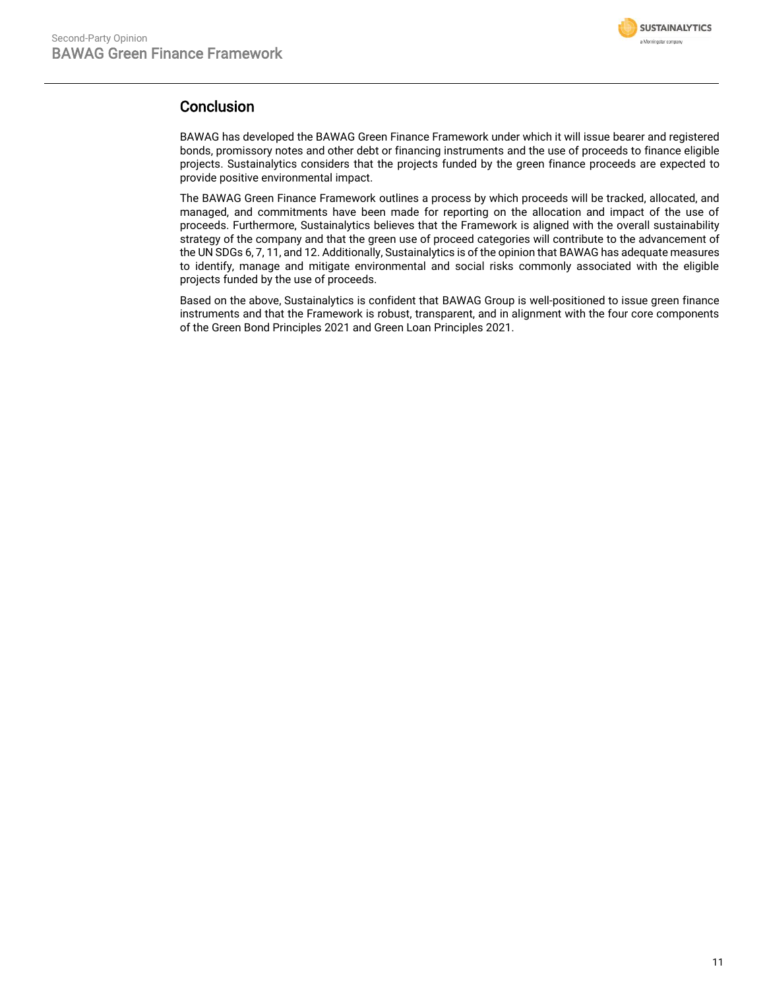

# Conclusion

BAWAG has developed the BAWAG Green Finance Framework under which it will issue bearer and registered bonds, promissory notes and other debt or financing instruments and the use of proceeds to finance eligible projects. Sustainalytics considers that the projects funded by the green finance proceeds are expected to provide positive environmental impact.

The BAWAG Green Finance Framework outlines a process by which proceeds will be tracked, allocated, and managed, and commitments have been made for reporting on the allocation and impact of the use of proceeds. Furthermore, Sustainalytics believes that the Framework is aligned with the overall sustainability strategy of the company and that the green use of proceed categories will contribute to the advancement of the UN SDGs 6, 7, 11, and 12. Additionally, Sustainalytics is of the opinion that BAWAG has adequate measures to identify, manage and mitigate environmental and social risks commonly associated with the eligible projects funded by the use of proceeds.

<span id="page-10-0"></span>Based on the above, Sustainalytics is confident that BAWAG Group is well-positioned to issue green finance instruments and that the Framework is robust, transparent, and in alignment with the four core components of the Green Bond Principles 2021 and Green Loan Principles 2021.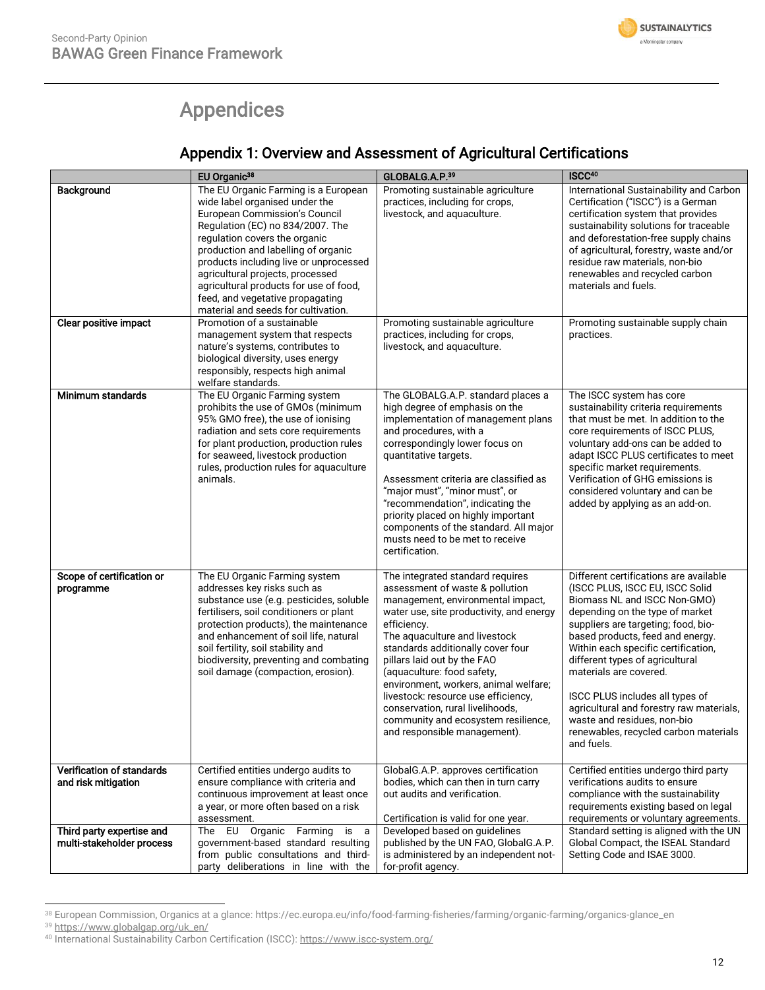

# Appendices

# Appendix 1: Overview and Assessment of Agricultural Certifications

|                                                        | EU Organic <sup>38</sup>                                                                                                                                                                                                                                                                                                                                                                                                                             | GLOBALG.A.P.39                                                                                                                                                                                                                                                                                                                                                                                                                                                                                    | ISCC <sup>40</sup>                                                                                                                                                                                                                                                                                                                                                                                                                                                                               |
|--------------------------------------------------------|------------------------------------------------------------------------------------------------------------------------------------------------------------------------------------------------------------------------------------------------------------------------------------------------------------------------------------------------------------------------------------------------------------------------------------------------------|---------------------------------------------------------------------------------------------------------------------------------------------------------------------------------------------------------------------------------------------------------------------------------------------------------------------------------------------------------------------------------------------------------------------------------------------------------------------------------------------------|--------------------------------------------------------------------------------------------------------------------------------------------------------------------------------------------------------------------------------------------------------------------------------------------------------------------------------------------------------------------------------------------------------------------------------------------------------------------------------------------------|
| Background<br>Clear positive impact                    | The EU Organic Farming is a European<br>wide label organised under the<br>European Commission's Council<br>Regulation (EC) no 834/2007. The<br>regulation covers the organic<br>production and labelling of organic<br>products including live or unprocessed<br>agricultural projects, processed<br>agricultural products for use of food,<br>feed, and vegetative propagating<br>material and seeds for cultivation.<br>Promotion of a sustainable | Promoting sustainable agriculture<br>practices, including for crops,<br>livestock, and aquaculture.<br>Promoting sustainable agriculture                                                                                                                                                                                                                                                                                                                                                          | International Sustainability and Carbon<br>Certification ("ISCC") is a German<br>certification system that provides<br>sustainability solutions for traceable<br>and deforestation-free supply chains<br>of agricultural, forestry, waste and/or<br>residue raw materials, non-bio<br>renewables and recycled carbon<br>materials and fuels.<br>Promoting sustainable supply chain                                                                                                               |
|                                                        | management system that respects<br>nature's systems, contributes to<br>biological diversity, uses energy<br>responsibly, respects high animal<br>welfare standards.                                                                                                                                                                                                                                                                                  | practices, including for crops,<br>livestock, and aquaculture.                                                                                                                                                                                                                                                                                                                                                                                                                                    | practices.                                                                                                                                                                                                                                                                                                                                                                                                                                                                                       |
| Minimum standards                                      | The EU Organic Farming system<br>prohibits the use of GMOs (minimum<br>95% GMO free), the use of ionising<br>radiation and sets core requirements<br>for plant production, production rules<br>for seaweed, livestock production<br>rules, production rules for aquaculture<br>animals.                                                                                                                                                              | The GLOBALG.A.P. standard places a<br>high degree of emphasis on the<br>implementation of management plans<br>and procedures, with a<br>correspondingly lower focus on<br>quantitative targets.<br>Assessment criteria are classified as<br>"major must", "minor must", or<br>"recommendation", indicating the<br>priority placed on highly important<br>components of the standard. All major<br>musts need to be met to receive<br>certification.                                               | The ISCC system has core<br>sustainability criteria requirements<br>that must be met. In addition to the<br>core requirements of ISCC PLUS,<br>voluntary add-ons can be added to<br>adapt ISCC PLUS certificates to meet<br>specific market requirements.<br>Verification of GHG emissions is<br>considered voluntary and can be<br>added by applying as an add-on.                                                                                                                              |
| Scope of certification or<br>programme                 | The EU Organic Farming system<br>addresses key risks such as<br>substance use (e.g. pesticides, soluble<br>fertilisers, soil conditioners or plant<br>protection products), the maintenance<br>and enhancement of soil life, natural<br>soil fertility, soil stability and<br>biodiversity, preventing and combating<br>soil damage (compaction, erosion).                                                                                           | The integrated standard requires<br>assessment of waste & pollution<br>management, environmental impact,<br>water use, site productivity, and energy<br>efficiency.<br>The aquaculture and livestock<br>standards additionally cover four<br>pillars laid out by the FAO<br>(aquaculture: food safety,<br>environment, workers, animal welfare;<br>livestock: resource use efficiency,<br>conservation, rural livelihoods,<br>community and ecosystem resilience,<br>and responsible management). | Different certifications are available<br>(ISCC PLUS, ISCC EU, ISCC Solid<br>Biomass NL and ISCC Non-GMO)<br>depending on the type of market<br>suppliers are targeting; food, bio-<br>based products, feed and energy.<br>Within each specific certification,<br>different types of agricultural<br>materials are covered.<br>ISCC PLUS includes all types of<br>agricultural and forestry raw materials,<br>waste and residues, non-bio<br>renewables, recycled carbon materials<br>and fuels. |
| Verification of standards<br>and risk mitigation       | Certified entities undergo audits to<br>ensure compliance with criteria and<br>continuous improvement at least once<br>a year, or more often based on a risk<br>assessment.                                                                                                                                                                                                                                                                          | GlobalG.A.P. approves certification<br>bodies, which can then in turn carry<br>out audits and verification.<br>Certification is valid for one year.                                                                                                                                                                                                                                                                                                                                               | Certified entities undergo third party<br>verifications audits to ensure<br>compliance with the sustainability<br>requirements existing based on legal<br>requirements or voluntary agreements.                                                                                                                                                                                                                                                                                                  |
| Third party expertise and<br>multi-stakeholder process | The EU Organic Farming<br>is a<br>government-based standard resulting<br>from public consultations and third-<br>party deliberations in line with the                                                                                                                                                                                                                                                                                                | Developed based on guidelines<br>published by the UN FAO, GlobalG.A.P.<br>is administered by an independent not-<br>for-profit agency.                                                                                                                                                                                                                                                                                                                                                            | Standard setting is aligned with the UN<br>Global Compact, the ISEAL Standard<br>Setting Code and ISAE 3000.                                                                                                                                                                                                                                                                                                                                                                                     |

<sup>38</sup> European Commission, Organics at a glance: https://ec.europa.eu/info/food-farming-fisheries/farming/organic-farming/organics-glance\_en

<sup>39</sup> https://www.globalgap.org/uk\_en/

<sup>&</sup>lt;sup>40</sup> International Sustainability Carbon Certification (ISCC)[: https://www.iscc-system.org/](https://www.iscc-system.org/)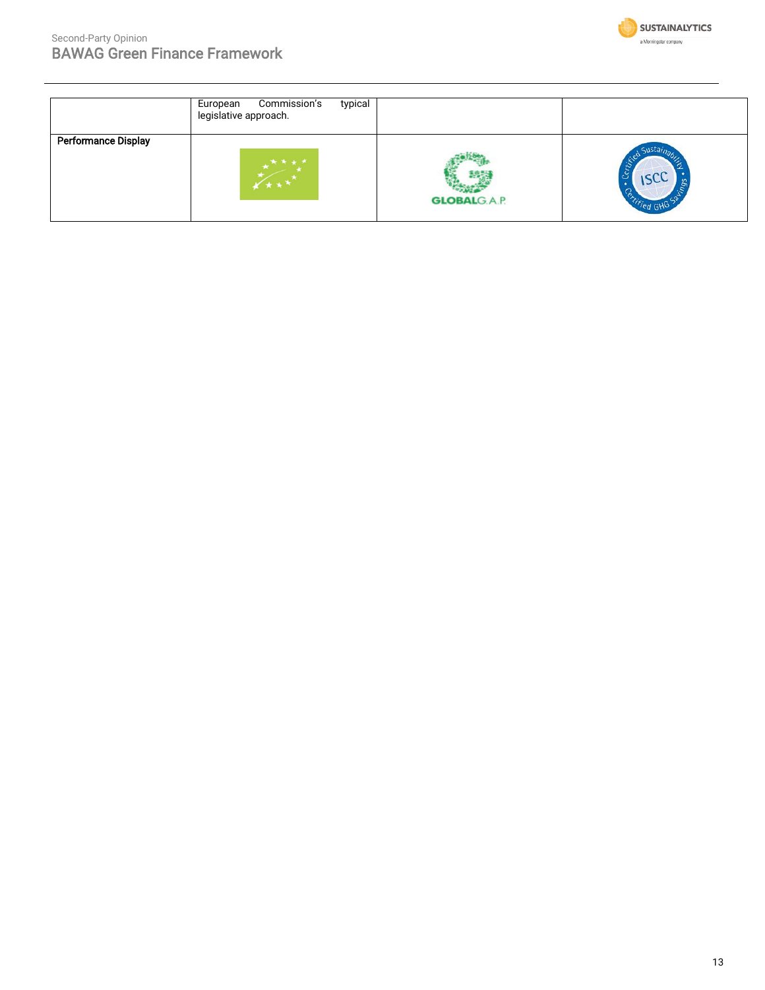

|                            | Commission's<br>typical<br>European<br>legislative approach. |                     |              |
|----------------------------|--------------------------------------------------------------|---------------------|--------------|
| <b>Performance Display</b> | ****                                                         | <b>GLOBALG.A.P.</b> | ainaz<br>ISC |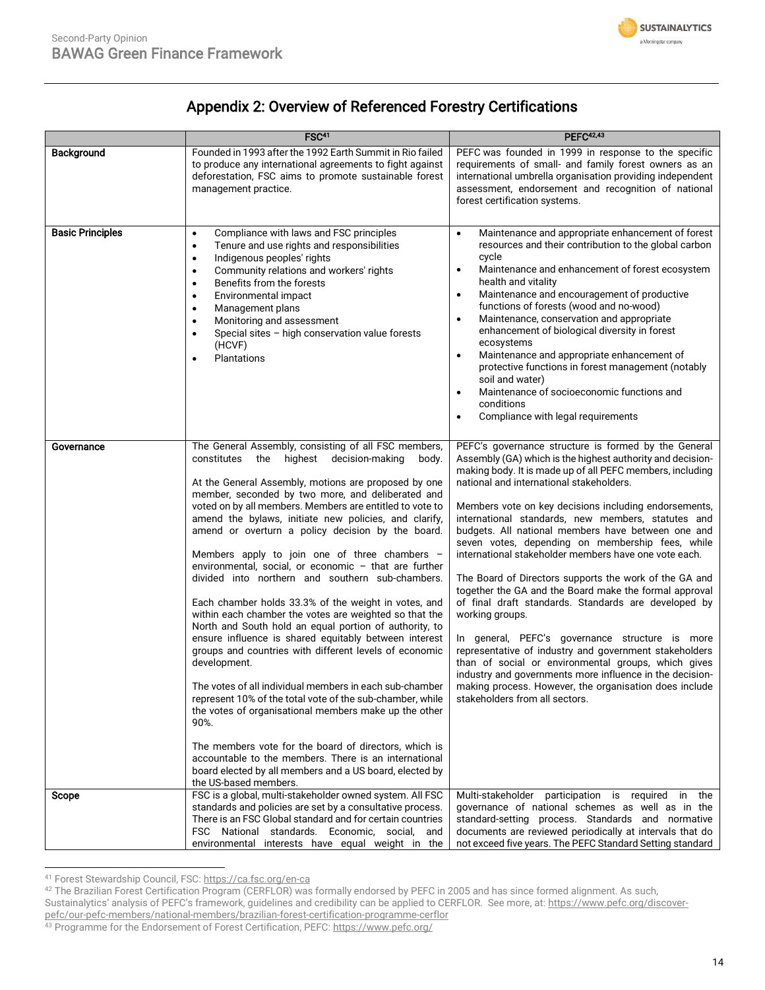

# Appendix 2: Overview of Referenced Forestry Certifications

|                         | FSC <sup>41</sup>                                                                                                                                                                                                                                                                                                                                                                                                                                                                                                                                                                                                                                                                                                                                                                                                                                                                                                                                                                                                                                                                                                                                                                                                                                                                      | <b>PEFC42.43</b>                                                                                                                                                                                                                                                                                                                                                                                                                                                                                                                                                                                                                                                                                                                                                                                                                                                                                                                                                                                                                         |
|-------------------------|----------------------------------------------------------------------------------------------------------------------------------------------------------------------------------------------------------------------------------------------------------------------------------------------------------------------------------------------------------------------------------------------------------------------------------------------------------------------------------------------------------------------------------------------------------------------------------------------------------------------------------------------------------------------------------------------------------------------------------------------------------------------------------------------------------------------------------------------------------------------------------------------------------------------------------------------------------------------------------------------------------------------------------------------------------------------------------------------------------------------------------------------------------------------------------------------------------------------------------------------------------------------------------------|------------------------------------------------------------------------------------------------------------------------------------------------------------------------------------------------------------------------------------------------------------------------------------------------------------------------------------------------------------------------------------------------------------------------------------------------------------------------------------------------------------------------------------------------------------------------------------------------------------------------------------------------------------------------------------------------------------------------------------------------------------------------------------------------------------------------------------------------------------------------------------------------------------------------------------------------------------------------------------------------------------------------------------------|
| <b>Background</b>       | Founded in 1993 after the 1992 Earth Summit in Rio failed<br>to produce any international agreements to fight against<br>deforestation, FSC aims to promote sustainable forest<br>management practice.                                                                                                                                                                                                                                                                                                                                                                                                                                                                                                                                                                                                                                                                                                                                                                                                                                                                                                                                                                                                                                                                                 | PEFC was founded in 1999 in response to the specific<br>requirements of small- and family forest owners as an<br>international umbrella organisation providing independent<br>assessment, endorsement and recognition of national<br>forest certification systems.                                                                                                                                                                                                                                                                                                                                                                                                                                                                                                                                                                                                                                                                                                                                                                       |
| <b>Basic Principles</b> | Compliance with laws and FSC principles<br>$\bullet$<br>Tenure and use rights and responsibilities<br>$\bullet$<br>Indigenous peoples' rights<br>$\bullet$<br>Community relations and workers' rights<br>$\bullet$<br>Benefits from the forests<br>$\bullet$<br>Environmental impact<br>٠<br>Management plans<br>$\bullet$<br>Monitoring and assessment<br>$\bullet$<br>Special sites - high conservation value forests<br>$\bullet$<br>(HCVF)<br>Plantations<br>$\bullet$                                                                                                                                                                                                                                                                                                                                                                                                                                                                                                                                                                                                                                                                                                                                                                                                             | Maintenance and appropriate enhancement of forest<br>$\bullet$<br>resources and their contribution to the global carbon<br>cycle<br>Maintenance and enhancement of forest ecosystem<br>$\bullet$<br>health and vitality<br>Maintenance and encouragement of productive<br>$\bullet$<br>functions of forests (wood and no-wood)<br>Maintenance, conservation and appropriate<br>$\bullet$<br>enhancement of biological diversity in forest<br>ecosystems<br>Maintenance and appropriate enhancement of<br>$\bullet$<br>protective functions in forest management (notably<br>soil and water)<br>Maintenance of socioeconomic functions and<br>$\bullet$<br>conditions<br>Compliance with legal requirements<br>$\bullet$                                                                                                                                                                                                                                                                                                                  |
| Governance              | The General Assembly, consisting of all FSC members,<br>highest<br>decision-making<br>constitutes<br>the<br>body.<br>At the General Assembly, motions are proposed by one<br>member, seconded by two more, and deliberated and<br>voted on by all members. Members are entitled to vote to<br>amend the bylaws, initiate new policies, and clarify,<br>amend or overturn a policy decision by the board.<br>Members apply to join one of three chambers $-$<br>environmental, social, or economic - that are further<br>divided into northern and southern sub-chambers.<br>Each chamber holds 33.3% of the weight in votes, and<br>within each chamber the votes are weighted so that the<br>North and South hold an equal portion of authority, to<br>ensure influence is shared equitably between interest<br>groups and countries with different levels of economic<br>development.<br>The votes of all individual members in each sub-chamber<br>represent 10% of the total vote of the sub-chamber, while<br>the votes of organisational members make up the other<br>90%.<br>The members vote for the board of directors, which is<br>accountable to the members. There is an international<br>board elected by all members and a US board, elected by<br>the US-based members. | PEFC's governance structure is formed by the General<br>Assembly (GA) which is the highest authority and decision-<br>making body. It is made up of all PEFC members, including<br>national and international stakeholders.<br>Members vote on key decisions including endorsements,<br>international standards, new members, statutes and<br>budgets. All national members have between one and<br>seven votes, depending on membership fees, while<br>international stakeholder members have one vote each.<br>The Board of Directors supports the work of the GA and<br>together the GA and the Board make the formal approval<br>of final draft standards. Standards are developed by<br>working groups.<br>In general, PEFC's governance structure is more<br>representative of industry and government stakeholders<br>than of social or environmental groups, which gives<br>industry and governments more influence in the decision-<br>making process. However, the organisation does include<br>stakeholders from all sectors. |
| Scope                   | FSC is a global, multi-stakeholder owned system. All FSC<br>standards and policies are set by a consultative process.<br>There is an FSC Global standard and for certain countries<br>FSC National standards. Economic, social, and<br>environmental interests have equal weight in the                                                                                                                                                                                                                                                                                                                                                                                                                                                                                                                                                                                                                                                                                                                                                                                                                                                                                                                                                                                                | Multi-stakeholder participation is required in the<br>governance of national schemes as well as in the<br>standard-setting process. Standards and normative<br>documents are reviewed periodically at intervals that do<br>not exceed five years. The PEFC Standard Setting standard                                                                                                                                                                                                                                                                                                                                                                                                                                                                                                                                                                                                                                                                                                                                                     |

<sup>41</sup> Forest Stewardship Council, FSC: https://ca.fsc.org/en-ca

42 The Brazilian Forest Certification Program (CERFLOR) was formally endorsed by PEFC in 2005 and has since formed alignment. As such,

Sustainalytics' analysis of PEFC's framework, guidelines and credibility can be applied to CERFLOR. See more, at: [https://www.pefc.org/discover](https://www.pefc.org/discover-pefc/our-pefc-members/national-members/brazilian-forest-certification-programme-cerflor)[pefc/our-pefc-members/national-members/brazilian-forest-certification-programme-cerflor](https://www.pefc.org/discover-pefc/our-pefc-members/national-members/brazilian-forest-certification-programme-cerflor)

<sup>43</sup> Programme for the Endorsement of Forest Certification, PEFC: https://www.pefc.org/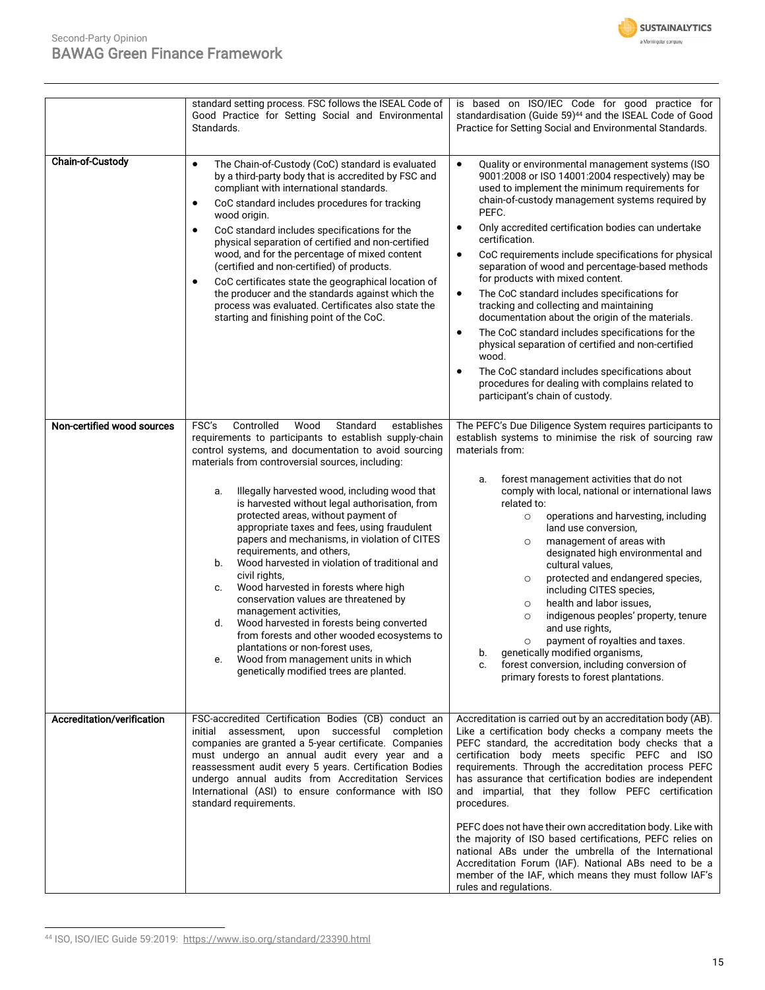

| <b>Chain-of-Custody</b>    | standard setting process. FSC follows the ISEAL Code of<br>Good Practice for Setting Social and Environmental<br>Standards.<br>The Chain-of-Custody (CoC) standard is evaluated<br>$\bullet$<br>by a third-party body that is accredited by FSC and<br>compliant with international standards.<br>CoC standard includes procedures for tracking<br>٠<br>wood origin.<br>CoC standard includes specifications for the<br>$\bullet$<br>physical separation of certified and non-certified<br>wood, and for the percentage of mixed content<br>(certified and non-certified) of products.<br>CoC certificates state the geographical location of<br>$\bullet$<br>the producer and the standards against which the<br>process was evaluated. Certificates also state the<br>starting and finishing point of the CoC.                                                                                                                 | is based on ISO/IEC Code for good practice for<br>standardisation (Guide 59) <sup>44</sup> and the ISEAL Code of Good<br>Practice for Setting Social and Environmental Standards.<br>$\bullet$<br>Quality or environmental management systems (ISO<br>9001:2008 or ISO 14001:2004 respectively) may be<br>used to implement the minimum requirements for<br>chain-of-custody management systems required by<br>PEFC.<br>Only accredited certification bodies can undertake<br>$\bullet$<br>certification.<br>CoC requirements include specifications for physical<br>$\bullet$<br>separation of wood and percentage-based methods<br>for products with mixed content.<br>The CoC standard includes specifications for<br>$\bullet$<br>tracking and collecting and maintaining<br>documentation about the origin of the materials.<br>The CoC standard includes specifications for the<br>$\bullet$<br>physical separation of certified and non-certified<br>wood.<br>The CoC standard includes specifications about<br>$\bullet$<br>procedures for dealing with complains related to<br>participant's chain of custody. |
|----------------------------|----------------------------------------------------------------------------------------------------------------------------------------------------------------------------------------------------------------------------------------------------------------------------------------------------------------------------------------------------------------------------------------------------------------------------------------------------------------------------------------------------------------------------------------------------------------------------------------------------------------------------------------------------------------------------------------------------------------------------------------------------------------------------------------------------------------------------------------------------------------------------------------------------------------------------------|-------------------------------------------------------------------------------------------------------------------------------------------------------------------------------------------------------------------------------------------------------------------------------------------------------------------------------------------------------------------------------------------------------------------------------------------------------------------------------------------------------------------------------------------------------------------------------------------------------------------------------------------------------------------------------------------------------------------------------------------------------------------------------------------------------------------------------------------------------------------------------------------------------------------------------------------------------------------------------------------------------------------------------------------------------------------------------------------------------------------------|
| Non-certified wood sources | FSC's<br>Controlled<br>Standard<br>Wood<br>establishes<br>requirements to participants to establish supply-chain<br>control systems, and documentation to avoid sourcing<br>materials from controversial sources, including:<br>Illegally harvested wood, including wood that<br>a.<br>is harvested without legal authorisation, from<br>protected areas, without payment of<br>appropriate taxes and fees, using fraudulent<br>papers and mechanisms, in violation of CITES<br>requirements, and others,<br>Wood harvested in violation of traditional and<br>b.<br>civil rights,<br>Wood harvested in forests where high<br>c.<br>conservation values are threatened by<br>management activities,<br>Wood harvested in forests being converted<br>d.<br>from forests and other wooded ecosystems to<br>plantations or non-forest uses,<br>Wood from management units in which<br>е.<br>genetically modified trees are planted. | The PEFC's Due Diligence System requires participants to<br>establish systems to minimise the risk of sourcing raw<br>materials from:<br>forest management activities that do not<br>a.<br>comply with local, national or international laws<br>related to:<br>operations and harvesting, including<br>$\circ$<br>land use conversion,<br>management of areas with<br>$\circ$<br>designated high environmental and<br>cultural values,<br>protected and endangered species,<br>O<br>including CITES species,<br>health and labor issues,<br>O<br>indigenous peoples' property, tenure<br>$\circ$<br>and use rights.<br>payment of royalties and taxes.<br>$\circ$<br>genetically modified organisms,<br>b.<br>forest conversion, including conversion of<br>c.<br>primary forests to forest plantations.                                                                                                                                                                                                                                                                                                                |
| Accreditation/verification | FSC-accredited Certification Bodies (CB) conduct an<br>initial assessment, upon successful completion<br>companies are granted a 5-year certificate. Companies<br>must undergo an annual audit every year and a<br>reassessment audit every 5 years. Certification Bodies<br>undergo annual audits from Accreditation Services<br>International (ASI) to ensure conformance with ISO<br>standard requirements.                                                                                                                                                                                                                                                                                                                                                                                                                                                                                                                   | Accreditation is carried out by an accreditation body (AB).<br>Like a certification body checks a company meets the<br>PEFC standard, the accreditation body checks that a<br>certification body meets specific PEFC and ISO<br>requirements. Through the accreditation process PEFC<br>has assurance that certification bodies are independent<br>and impartial, that they follow PEFC certification<br>procedures.<br>PEFC does not have their own accreditation body. Like with<br>the majority of ISO based certifications, PEFC relies on<br>national ABs under the umbrella of the International<br>Accreditation Forum (IAF). National ABs need to be a<br>member of the IAF, which means they must follow IAF's<br>rules and regulations.                                                                                                                                                                                                                                                                                                                                                                       |

<sup>44</sup> ISO, ISO/IEC Guide 59:2019:<https://www.iso.org/standard/23390.html>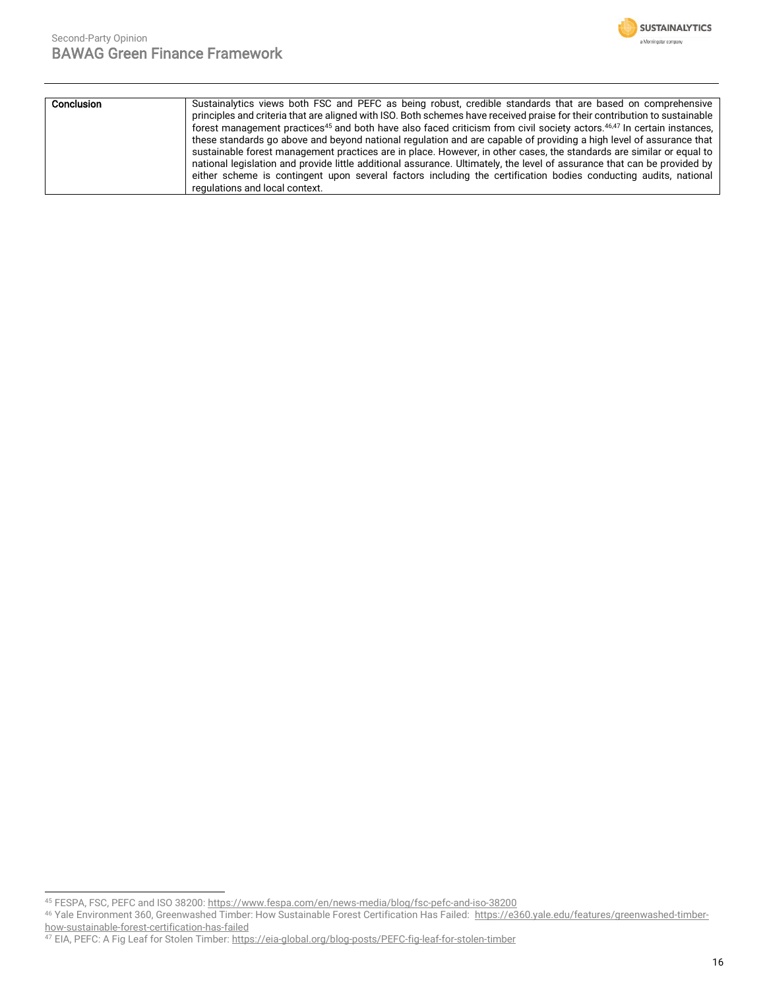

| Conclusion | Sustainalytics views both FSC and PEFC as being robust, credible standards that are based on comprehensive                                     |  |  |
|------------|------------------------------------------------------------------------------------------------------------------------------------------------|--|--|
|            | principles and criteria that are aligned with ISO. Both schemes have received praise for their contribution to sustainable                     |  |  |
|            | forest management practices <sup>45</sup> and both have also faced criticism from civil society actors. <sup>46,47</sup> In certain instances, |  |  |
|            | these standards go above and beyond national regulation and are capable of providing a high level of assurance that                            |  |  |
|            | sustainable forest management practices are in place. However, in other cases, the standards are similar or equal to                           |  |  |
|            | national legislation and provide little additional assurance. Ultimately, the level of assurance that can be provided by                       |  |  |
|            | either scheme is contingent upon several factors including the certification bodies conducting audits, national                                |  |  |
|            | regulations and local context.                                                                                                                 |  |  |

<sup>45</sup> FESPA, FSC, PEFC and ISO 38200[: https://www.fespa.com/en/news-media/blog/fsc-pefc-and-iso-38200](https://www.fespa.com/en/news-media/blog/fsc-pefc-and-iso-38200)

<sup>46</sup> Yale Environment 360, Greenwashed Timber: How Sustainable Forest Certification Has Failed: [https://e360.yale.edu/features/greenwashed-timber](https://e360.yale.edu/features/greenwashed-timber-how-sustainable-forest-certification-has-failed)[how-sustainable-forest-certification-has-failed](https://e360.yale.edu/features/greenwashed-timber-how-sustainable-forest-certification-has-failed)

<sup>&</sup>lt;sup>47</sup> EIA, PEFC: A Fig Leaf for Stolen Timber: <u>https://eia-global.org/blog-posts/PEFC-fig-leaf-for-stolen-timber</u>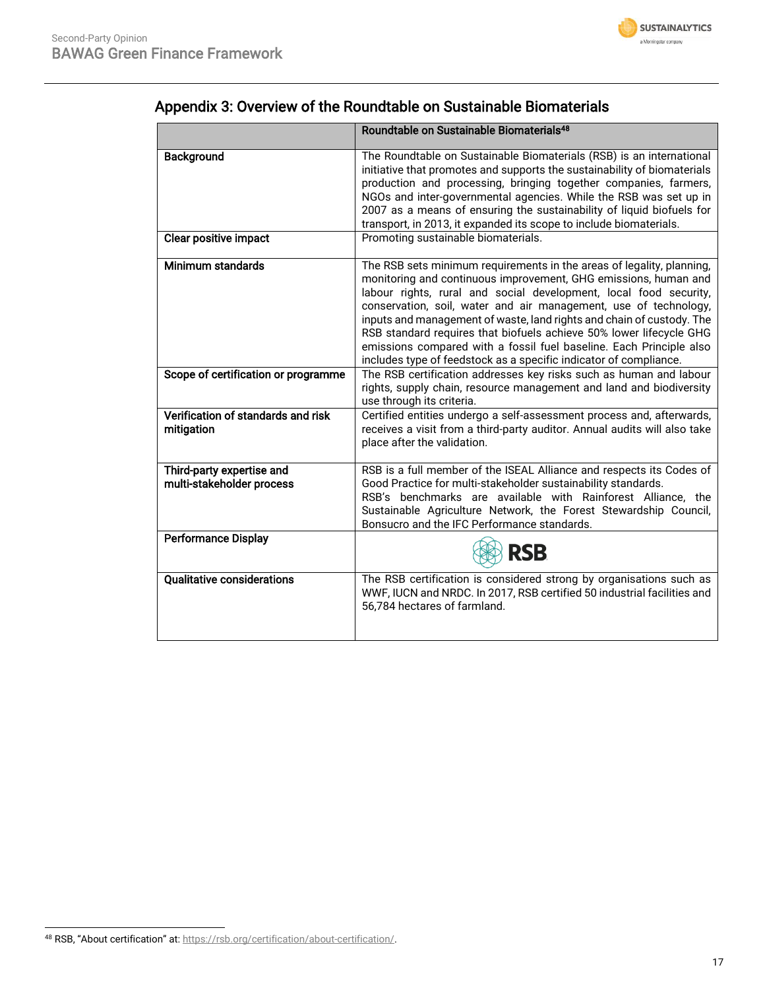

|                                                        | Roundtable on Sustainable Biomaterials <sup>48</sup>                                                                                                                                                                                                                                                                                                                                                                                                                                                                                                                          |
|--------------------------------------------------------|-------------------------------------------------------------------------------------------------------------------------------------------------------------------------------------------------------------------------------------------------------------------------------------------------------------------------------------------------------------------------------------------------------------------------------------------------------------------------------------------------------------------------------------------------------------------------------|
| Background                                             | The Roundtable on Sustainable Biomaterials (RSB) is an international<br>initiative that promotes and supports the sustainability of biomaterials<br>production and processing, bringing together companies, farmers,<br>NGOs and inter-governmental agencies. While the RSB was set up in<br>2007 as a means of ensuring the sustainability of liquid biofuels for<br>transport, in 2013, it expanded its scope to include biomaterials.                                                                                                                                      |
| <b>Clear positive impact</b>                           | Promoting sustainable biomaterials.                                                                                                                                                                                                                                                                                                                                                                                                                                                                                                                                           |
| Minimum standards                                      | The RSB sets minimum requirements in the areas of legality, planning,<br>monitoring and continuous improvement, GHG emissions, human and<br>labour rights, rural and social development, local food security,<br>conservation, soil, water and air management, use of technology,<br>inputs and management of waste, land rights and chain of custody. The<br>RSB standard requires that biofuels achieve 50% lower lifecycle GHG<br>emissions compared with a fossil fuel baseline. Each Principle also<br>includes type of feedstock as a specific indicator of compliance. |
| Scope of certification or programme                    | The RSB certification addresses key risks such as human and labour<br>rights, supply chain, resource management and land and biodiversity<br>use through its criteria.                                                                                                                                                                                                                                                                                                                                                                                                        |
| Verification of standards and risk<br>mitigation       | Certified entities undergo a self-assessment process and, afterwards,<br>receives a visit from a third-party auditor. Annual audits will also take<br>place after the validation.                                                                                                                                                                                                                                                                                                                                                                                             |
| Third-party expertise and<br>multi-stakeholder process | RSB is a full member of the ISEAL Alliance and respects its Codes of<br>Good Practice for multi-stakeholder sustainability standards.<br>RSB's benchmarks are available with Rainforest Alliance, the<br>Sustainable Agriculture Network, the Forest Stewardship Council,<br>Bonsucro and the IFC Performance standards.                                                                                                                                                                                                                                                      |
| Performance Display                                    | <b>RSB</b>                                                                                                                                                                                                                                                                                                                                                                                                                                                                                                                                                                    |
| <b>Qualitative considerations</b>                      | The RSB certification is considered strong by organisations such as<br>WWF, IUCN and NRDC. In 2017, RSB certified 50 industrial facilities and<br>56,784 hectares of farmland.                                                                                                                                                                                                                                                                                                                                                                                                |

# Appendix 3: Overview of the Roundtable on Sustainable Biomaterials

<sup>48</sup> RSB, "About certification" at: [https://rsb.org/certification/about-certification/.](https://rsb.org/certification/about-certification/)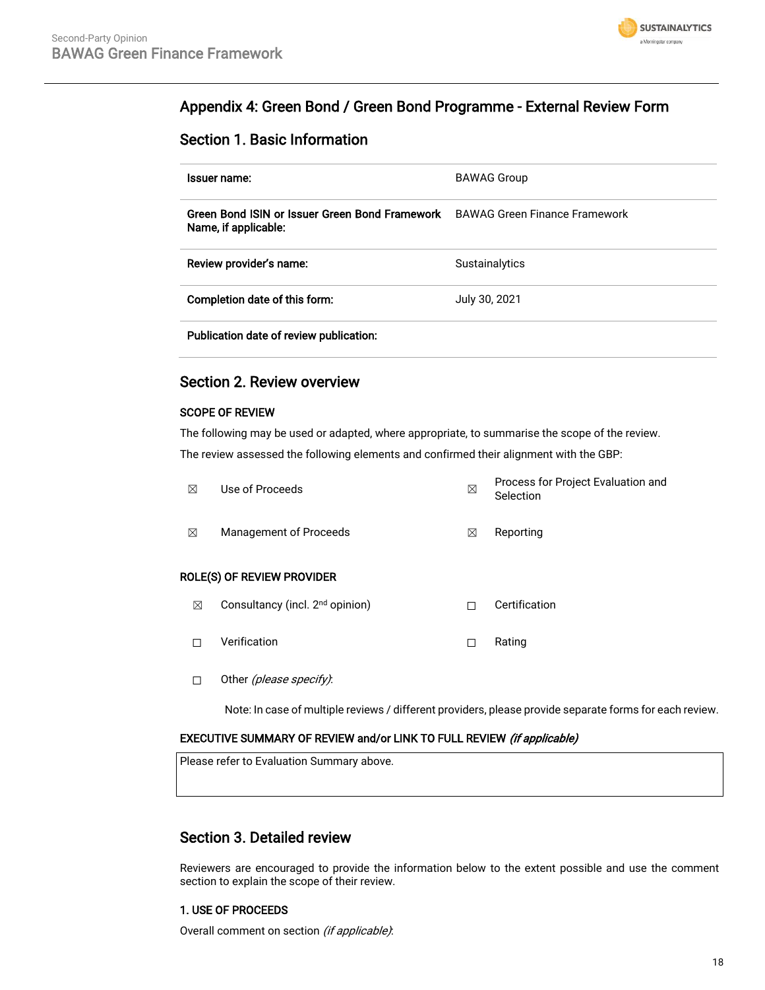

## Appendix 4: Green Bond / Green Bond Programme - External Review Form

### Section 1. Basic Information

| Issuer name:                                                           | <b>BAWAG Group</b>                   |
|------------------------------------------------------------------------|--------------------------------------|
| Green Bond ISIN or Issuer Green Bond Framework<br>Name, if applicable: | <b>BAWAG Green Finance Framework</b> |
| Review provider's name:                                                | Sustainalytics                       |
| Completion date of this form:                                          | July 30, 2021                        |
| Publication date of review publication:                                |                                      |

### Section 2. Review overview

### SCOPE OF REVIEW

The following may be used or adapted, where appropriate, to summarise the scope of the review. The review assessed the following elements and confirmed their alignment with the GBP:

| ⊠ | Use of Proceeds                             | ⊠ | Process for Project Evaluation and<br>Selection |
|---|---------------------------------------------|---|-------------------------------------------------|
| ⊠ | Management of Proceeds                      | X | Reporting                                       |
|   | ROLE(S) OF REVIEW PROVIDER                  |   |                                                 |
| ⊠ | Consultancy (incl. 2 <sup>nd</sup> opinion) |   | Certification                                   |

- 
- ☐ Verification ☐ Rating
- □ Other (please specify):

Note: In case of multiple reviews / different providers, please provide separate forms for each review.

### EXECUTIVE SUMMARY OF REVIEW and/or LINK TO FULL REVIEW (if applicable)

Please refer to Evaluation Summary above.

### Section 3. Detailed review

Reviewers are encouraged to provide the information below to the extent possible and use the comment section to explain the scope of their review.

### 1. USE OF PROCEEDS

Overall comment on section (if applicable):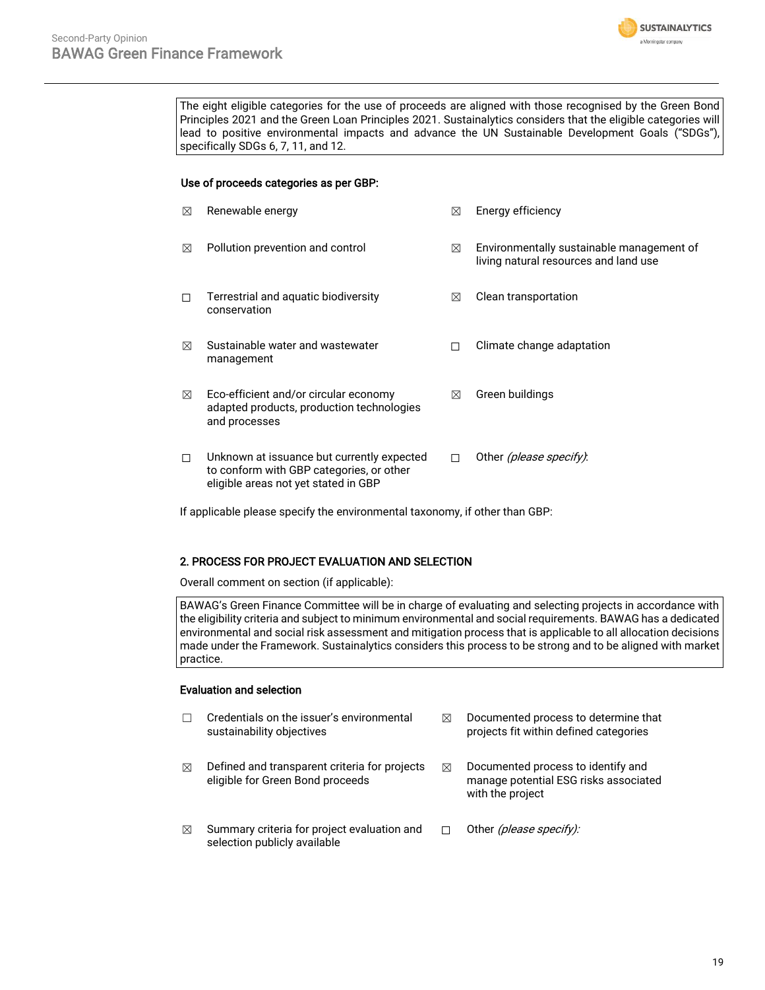

The eight eligible categories for the use of proceeds are aligned with those recognised by the Green Bond Principles 2021 and the Green Loan Principles 2021. Sustainalytics considers that the eligible categories will lead to positive environmental impacts and advance the UN Sustainable Development Goals ("SDGs"), specifically SDGs 6, 7, 11, and 12.

#### Use of proceeds categories as per GBP:

| ⊠      | Renewable energy                                                                                                               | ⊠ | Energy efficiency                                                                  |
|--------|--------------------------------------------------------------------------------------------------------------------------------|---|------------------------------------------------------------------------------------|
| ⊠      | Pollution prevention and control                                                                                               | ⊠ | Environmentally sustainable management of<br>living natural resources and land use |
| П      | Terrestrial and aquatic biodiversity<br>conservation                                                                           | ⊠ | Clean transportation                                                               |
| ⊠      | Sustainable water and wastewater<br>management                                                                                 | г | Climate change adaptation                                                          |
| ⊠      | Eco-efficient and/or circular economy<br>adapted products, production technologies<br>and processes                            | ⊠ | Green buildings                                                                    |
| $\Box$ | Unknown at issuance but currently expected<br>to conform with GBP categories, or other<br>eligible areas not yet stated in GBP | П | Other <i>(please specify)</i> :                                                    |

If applicable please specify the environmental taxonomy, if other than GBP:

#### 2. PROCESS FOR PROJECT EVALUATION AND SELECTION

Overall comment on section (if applicable):

BAWAG's Green Finance Committee will be in charge of evaluating and selecting projects in accordance with the eligibility criteria and subject to minimum environmental and social requirements. BAWAG has a dedicated environmental and social risk assessment and mitigation process that is applicable to all allocation decisions made under the Framework. Sustainalytics considers this process to be strong and to be aligned with market practice.

#### Evaluation and selection

|   | Credentials on the issuer's environmental<br>sustainability objectives            | M | Documented process to determine that<br>projects fit within defined categories                  |
|---|-----------------------------------------------------------------------------------|---|-------------------------------------------------------------------------------------------------|
| ⊠ | Defined and transparent criteria for projects<br>eligible for Green Bond proceeds | ⊠ | Documented process to identify and<br>manage potential ESG risks associated<br>with the project |
| ⊠ | Summary criteria for project evaluation and<br>selection publicly available       |   | Other (please specify):                                                                         |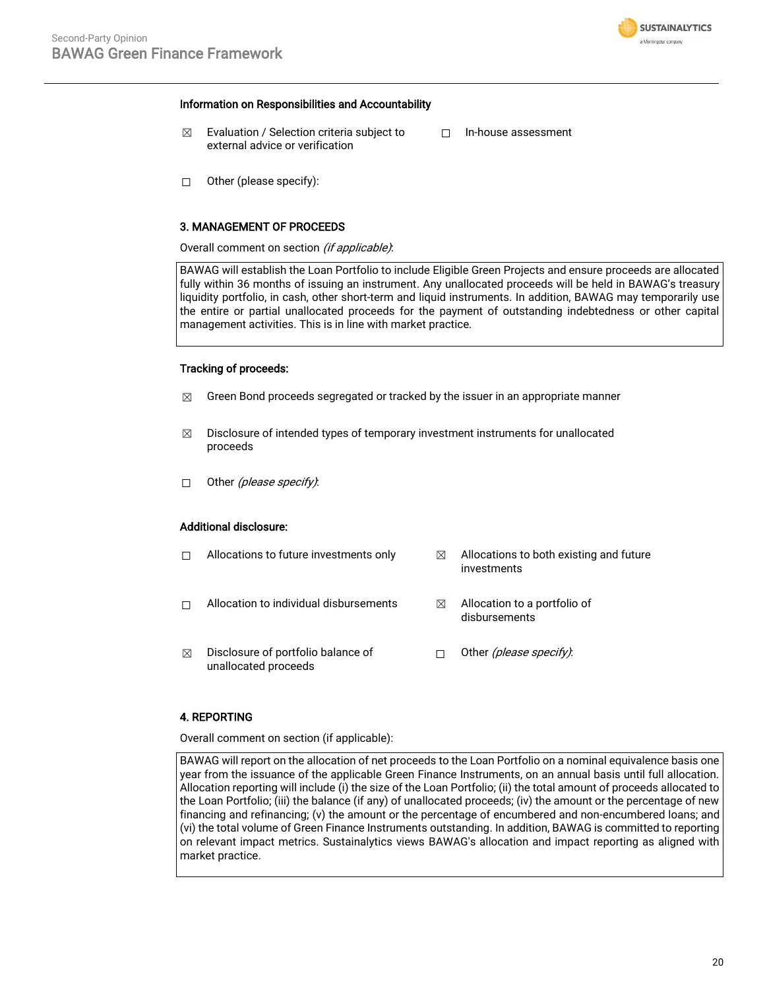

#### Information on Responsibilities and Accountability

- $\boxtimes$  Evaluation / Selection criteria subject to external advice or verification
- ☐ In-house assessment

☐ Other (please specify):

#### 3. MANAGEMENT OF PROCEEDS

Overall comment on section (if applicable):

BAWAG will establish the Loan Portfolio to include Eligible Green Projects and ensure proceeds are allocated fully within 36 months of issuing an instrument. Any unallocated proceeds will be held in BAWAG's treasury liquidity portfolio, in cash, other short-term and liquid instruments. In addition, BAWAG may temporarily use the entire or partial unallocated proceeds for the payment of outstanding indebtedness or other capital management activities. This is in line with market practice.

#### Tracking of proceeds:

- $\boxtimes$  Green Bond proceeds segregated or tracked by the issuer in an appropriate manner
- $\boxtimes$  Disclosure of intended types of temporary investment instruments for unallocated proceeds
- □ Other (please specify):

#### Additional disclosure:

|   | Allocations to future investments only                     | ⊠ | Allocations to both existing and future<br>investments |
|---|------------------------------------------------------------|---|--------------------------------------------------------|
|   | Allocation to individual disbursements                     | ⋈ | Allocation to a portfolio of<br>disbursements          |
| ⊠ | Disclosure of portfolio balance of<br>unallocated proceeds |   | Other <i>(please specify)</i> :                        |

#### 4. REPORTING

Overall comment on section (if applicable):

BAWAG will report on the allocation of net proceeds to the Loan Portfolio on a nominal equivalence basis one year from the issuance of the applicable Green Finance Instruments, on an annual basis until full allocation. Allocation reporting will include (i) the size of the Loan Portfolio; (ii) the total amount of proceeds allocated to the Loan Portfolio; (iii) the balance (if any) of unallocated proceeds; (iv) the amount or the percentage of new financing and refinancing; (v) the amount or the percentage of encumbered and non-encumbered loans; and (vi) the total volume of Green Finance Instruments outstanding. In addition, BAWAG is committed to reporting on relevant impact metrics. Sustainalytics views BAWAG's allocation and impact reporting as aligned with market practice.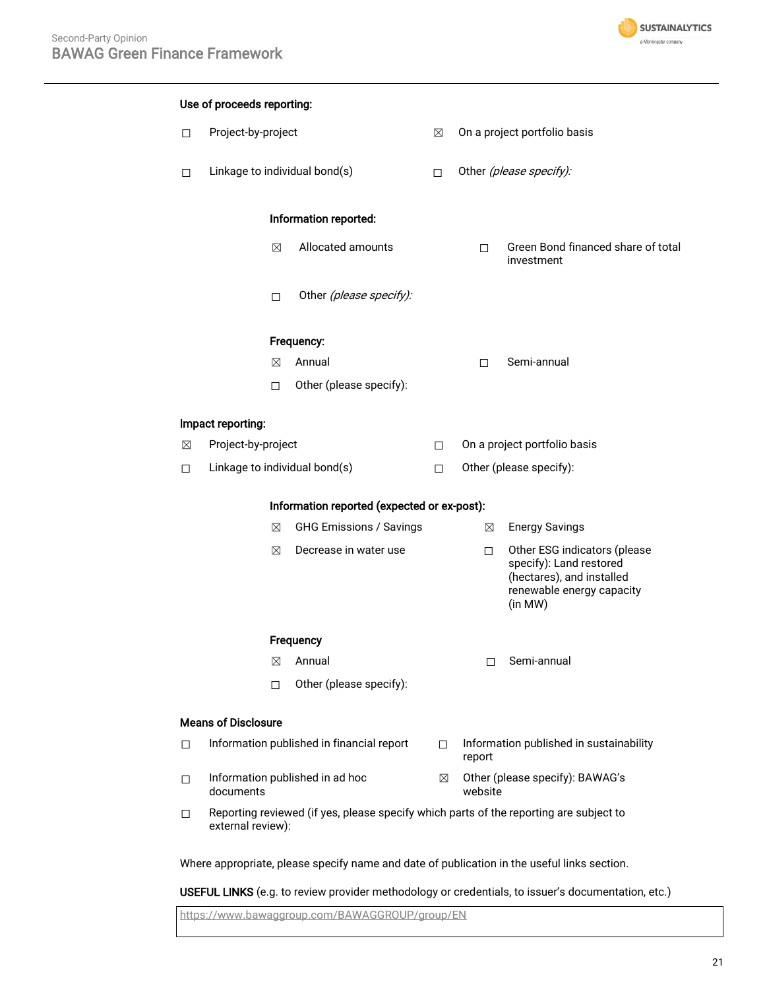

# Use of proceeds reporting: ☐ Project-by-project ☒ On a project portfolio basis □ Linkage to individual bond(s) □ Other (please specify): Information reported: ☒ Allocated amounts ☐ Green Bond financed share of total investment □ Other (please specify): Frequency: ☒ Annual ☐ Semi-annual ☐ Other (please specify): Impact reporting: ☒ Project-by-project ☐ On a project portfolio basis ☐ Linkage to individual bond(s) ☐ Other (please specify): Information reported (expected or ex-post): ☒ GHG Emissions / Savings ☒ Energy Savings **⊠** Decrease in water use □ Other ESG indicators (please specify): Land restored (hectares), and installed renewable energy capacity (in MW) **Frequency** ☒ Annual ☐ Semi-annual ☐ Other (please specify): Means of Disclosure □ Information published in financial report □ Information published in sustainability report ☐ Information published in ad hoc documents ☒ Other (please specify): BAWAG's website ☐ Reporting reviewed (if yes, please specify which parts of the reporting are subject to external review): Where appropriate, please specify name and date of publication in the useful links section.

USEFUL LINKS (e.g. to review provider methodology or credentials, to issuer's documentation, etc.)

<https://www.bawaggroup.com/BAWAGGROUP/group/EN>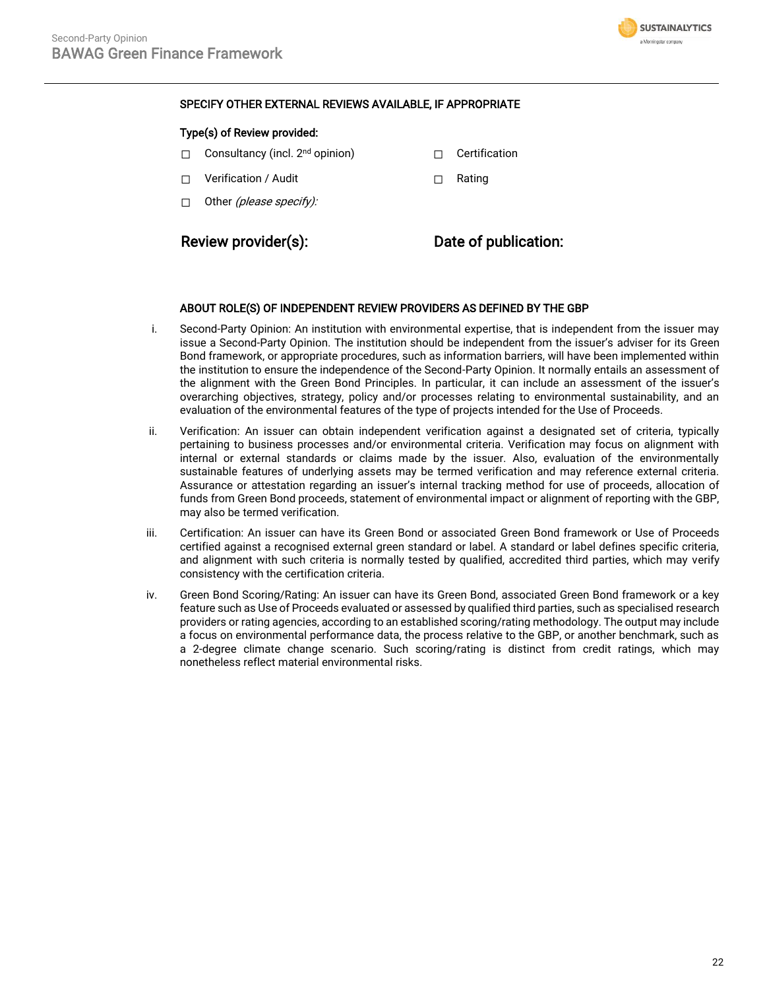

### SPECIFY OTHER EXTERNAL REVIEWS AVAILABLE, IF APPROPRIATE

#### Type(s) of Review provided:

- □ Consultancy (incl. 2<sup>nd</sup> opinion) □ □ Certification
- ☐ Verification / Audit ☐ Rating
- $\Box$  Other (please specify):

### Review provider(s): Date of publication:

#### ABOUT ROLE(S) OF INDEPENDENT REVIEW PROVIDERS AS DEFINED BY THE GBP

- i. Second-Party Opinion: An institution with environmental expertise, that is independent from the issuer may issue a Second-Party Opinion. The institution should be independent from the issuer's adviser for its Green Bond framework, or appropriate procedures, such as information barriers, will have been implemented within the institution to ensure the independence of the Second-Party Opinion. It normally entails an assessment of the alignment with the Green Bond Principles. In particular, it can include an assessment of the issuer's overarching objectives, strategy, policy and/or processes relating to environmental sustainability, and an evaluation of the environmental features of the type of projects intended for the Use of Proceeds.
- ii. Verification: An issuer can obtain independent verification against a designated set of criteria, typically pertaining to business processes and/or environmental criteria. Verification may focus on alignment with internal or external standards or claims made by the issuer. Also, evaluation of the environmentally sustainable features of underlying assets may be termed verification and may reference external criteria. Assurance or attestation regarding an issuer's internal tracking method for use of proceeds, allocation of funds from Green Bond proceeds, statement of environmental impact or alignment of reporting with the GBP, may also be termed verification.
- iii. Certification: An issuer can have its Green Bond or associated Green Bond framework or Use of Proceeds certified against a recognised external green standard or label. A standard or label defines specific criteria, and alignment with such criteria is normally tested by qualified, accredited third parties, which may verify consistency with the certification criteria.
- iv. Green Bond Scoring/Rating: An issuer can have its Green Bond, associated Green Bond framework or a key feature such as Use of Proceeds evaluated or assessed by qualified third parties, such as specialised research providers or rating agencies, according to an established scoring/rating methodology. The output may include a focus on environmental performance data, the process relative to the GBP, or another benchmark, such as a 2-degree climate change scenario. Such scoring/rating is distinct from credit ratings, which may nonetheless reflect material environmental risks.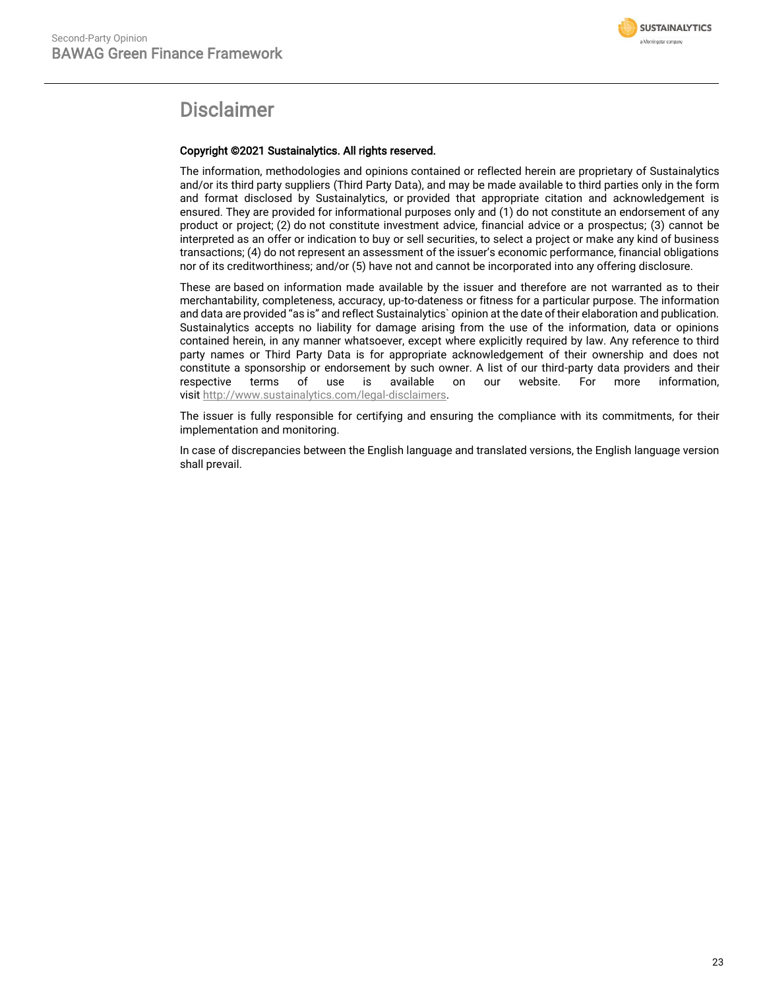

# Disclaimer

#### Copyright ©2021 Sustainalytics. All rights reserved.

The information, methodologies and opinions contained or reflected herein are proprietary of Sustainalytics and/or its third party suppliers (Third Party Data), and may be made available to third parties only in the form and format disclosed by Sustainalytics, or provided that appropriate citation and acknowledgement is ensured. They are provided for informational purposes only and (1) do not constitute an endorsement of any product or project; (2) do not constitute investment advice, financial advice or a prospectus; (3) cannot be interpreted as an offer or indication to buy or sell securities, to select a project or make any kind of business transactions; (4) do not represent an assessment of the issuer's economic performance, financial obligations nor of its creditworthiness; and/or (5) have not and cannot be incorporated into any offering disclosure.

These are based on information made available by the issuer and therefore are not warranted as to their merchantability, completeness, accuracy, up-to-dateness or fitness for a particular purpose. The information and data are provided "as is" and reflect Sustainalytics` opinion at the date of their elaboration and publication. Sustainalytics accepts no liability for damage arising from the use of the information, data or opinions contained herein, in any manner whatsoever, except where explicitly required by law. Any reference to third party names or Third Party Data is for appropriate acknowledgement of their ownership and does not constitute a sponsorship or endorsement by such owner. A list of our third-party data providers and their respective terms of use is available on our website. For more information, visit [http://www.sustainalytics.com/legal-disclaimers.](http://www.sustainalytics.com/legal-disclaimers)

The issuer is fully responsible for certifying and ensuring the compliance with its commitments, for their implementation and monitoring.

In case of discrepancies between the English language and translated versions, the English language version shall prevail.